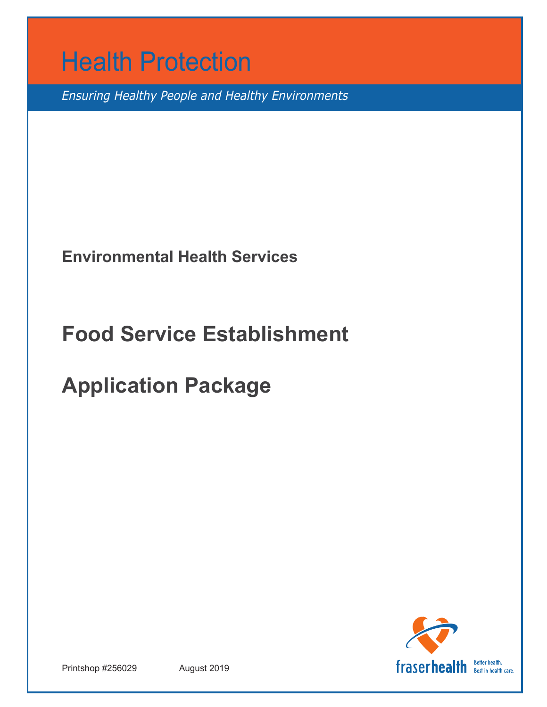

Ensuring Healthy People and Healthy Environments

**Environmental Health Services**

# **Food Service Establishment**

# **Application Package**



Printshop #256029 August 2019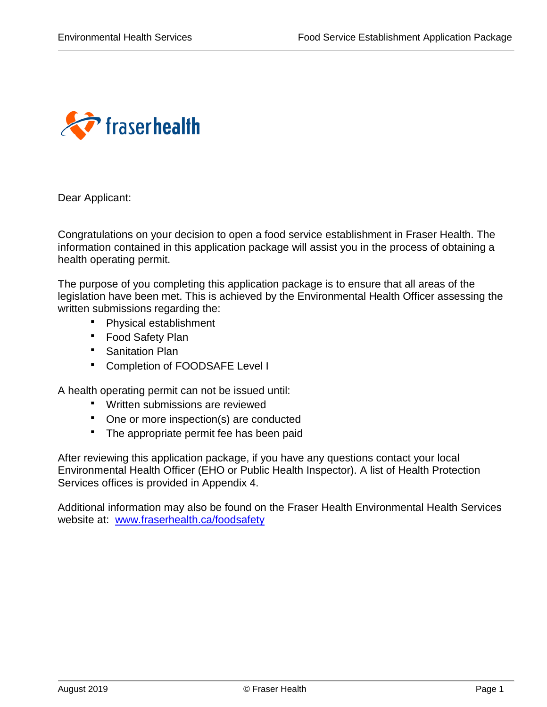

Dear Applicant:

Congratulations on your decision to open a food service establishment in Fraser Health. The information contained in this application package will assist you in the process of obtaining a health operating permit.

The purpose of you completing this application package is to ensure that all areas of the legislation have been met. This is achieved by the Environmental Health Officer assessing the written submissions regarding the:

- Physical establishment
- **F** Food Safety Plan
- **Sanitation Plan**
- Completion of FOODSAFE Level I

A health operating permit can not be issued until:

- Written submissions are reviewed
- One or more inspection(s) are conducted
- The appropriate permit fee has been paid

After reviewing this application package, if you have any questions contact your local Environmental Health Officer (EHO or Public Health Inspector). A list of Health Protection Services offices is provided in Appendix 4.

Additional information may also be found on the Fraser Health Environmental Health Services website at: [www.fraserhealth.ca/foodsafety](http://www.fraserhealth.ca/foodsafety)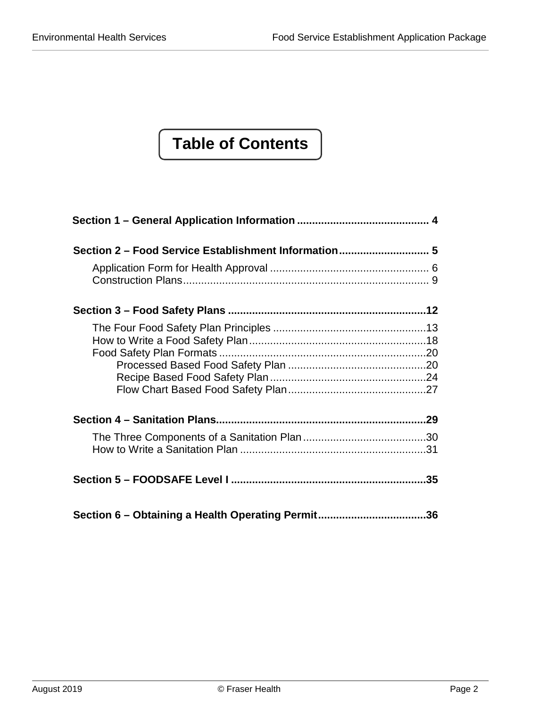# **Table of Contents**

| Section 6 - Obtaining a Health Operating Permit36 |  |
|---------------------------------------------------|--|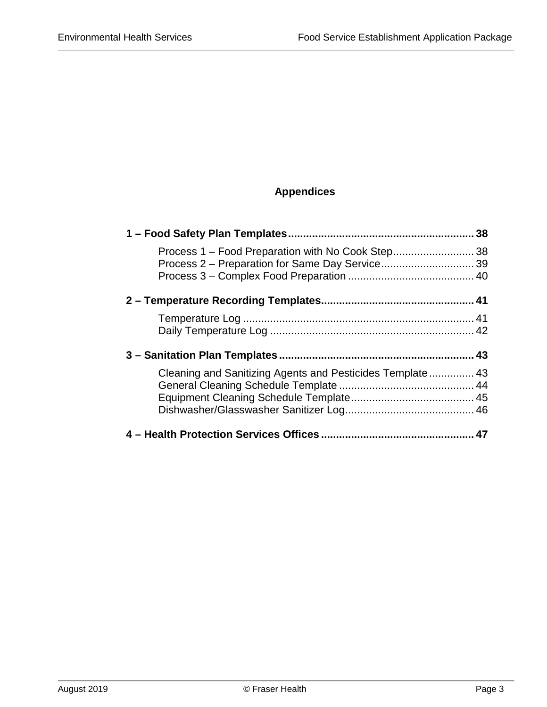## **Appendices**

|                                                            | 38 |
|------------------------------------------------------------|----|
|                                                            |    |
|                                                            |    |
|                                                            |    |
|                                                            |    |
|                                                            |    |
|                                                            |    |
|                                                            |    |
| Cleaning and Sanitizing Agents and Pesticides Template  43 |    |
|                                                            |    |
|                                                            |    |
|                                                            |    |
|                                                            |    |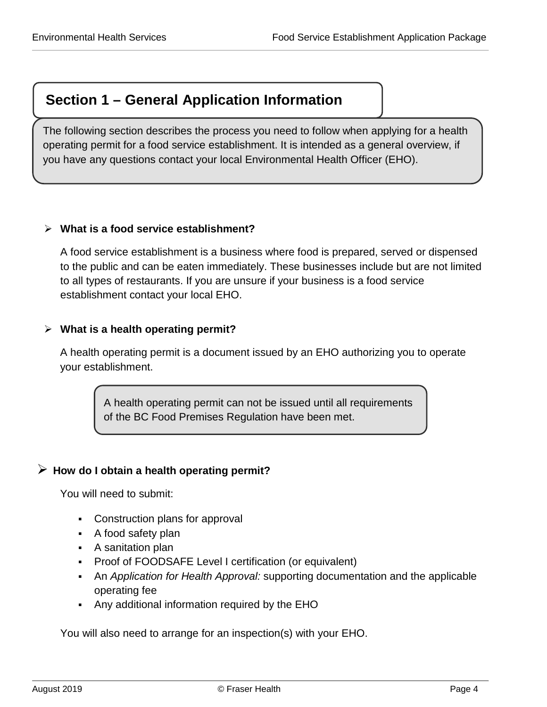# <span id="page-4-0"></span>**Section 1 – General Application Information**

The following section describes the process you need to follow when applying for a health operating permit for a food service establishment. It is intended as a general overview, if you have any questions contact your local Environmental Health Officer (EHO).

## **What is a food service establishment?**

A food service establishment is a business where food is prepared, served or dispensed to the public and can be eaten immediately. These businesses include but are not limited to all types of restaurants. If you are unsure if your business is a food service establishment contact your local EHO.

## **What is a health operating permit?**

A health operating permit is a document issued by an EHO authorizing you to operate your establishment.

> A health operating permit can not be issued until all requirements of the BC Food Premises Regulation have been met.

## **How do I obtain a health operating permit?**

You will need to submit:

- Construction plans for approval
- A food safety plan
- A sanitation plan
- **Proof of FOODSAFE Level I certification (or equivalent)**
- An *Application for Health Approval:* supporting documentation and the applicable operating fee
- Any additional information required by the EHO

You will also need to arrange for an inspection(s) with your EHO.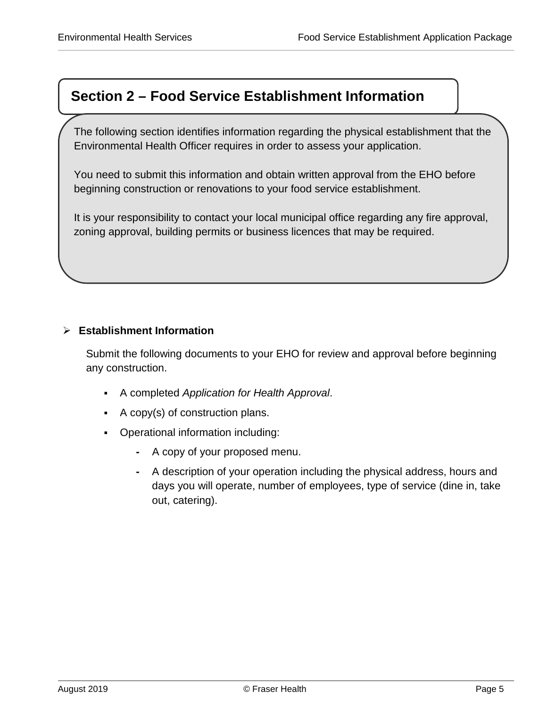# <span id="page-5-0"></span>**Section 2 – Food Service Establishment Information**

The following section identifies information regarding the physical establishment that the Environmental Health Officer requires in order to assess your application.

You need to submit this information and obtain written approval from the EHO before beginning construction or renovations to your food service establishment.

It is your responsibility to contact your local municipal office regarding any fire approval, zoning approval, building permits or business licences that may be required.

## **Establishment Information**

Submit the following documents to your EHO for review and approval before beginning any construction.

- A completed *Application for Health Approval*.
- A copy(s) of construction plans.
- Operational information including:
	- **-** A copy of your proposed menu.
	- **-** A description of your operation including the physical address, hours and days you will operate, number of employees, type of service (dine in, take out, catering).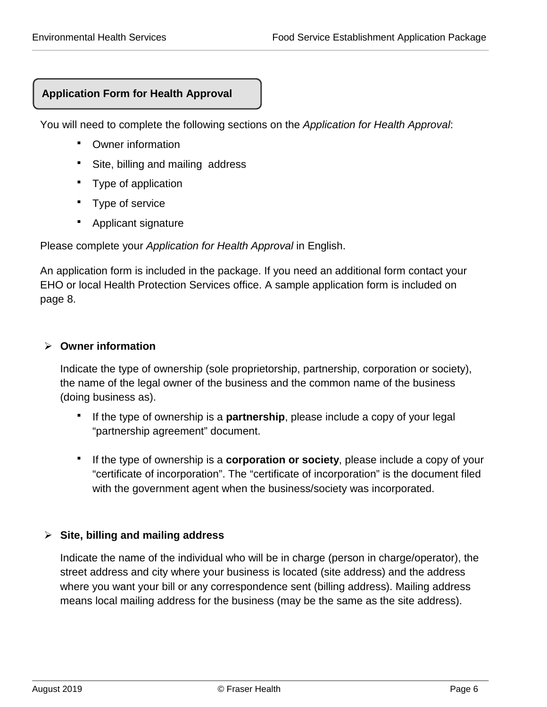## **Application Form for Health Approval**

You will need to complete the following sections on the *Application for Health Approval*:

- <span id="page-6-0"></span>Owner information
- Site, billing and mailing address
- Type of application
- Type of service
- Applicant signature

Please complete your *Application for Health Approval* in English.

An application form is included in the package. If you need an additional form contact your EHO or local Health Protection Services office. A sample application form is included on page 8.

## **Owner information**

Indicate the type of ownership (sole proprietorship, partnership, corporation or society), the name of the legal owner of the business and the common name of the business (doing business as).

- If the type of ownership is a **partnership**, please include a copy of your legal "partnership agreement" document.
- If the type of ownership is a **corporation or society**, please include a copy of your "certificate of incorporation". The "certificate of incorporation" is the document filed with the government agent when the business/society was incorporated.

## **Site, billing and mailing address**

Indicate the name of the individual who will be in charge (person in charge/operator), the street address and city where your business is located (site address) and the address where you want your bill or any correspondence sent (billing address). Mailing address means local mailing address for the business (may be the same as the site address).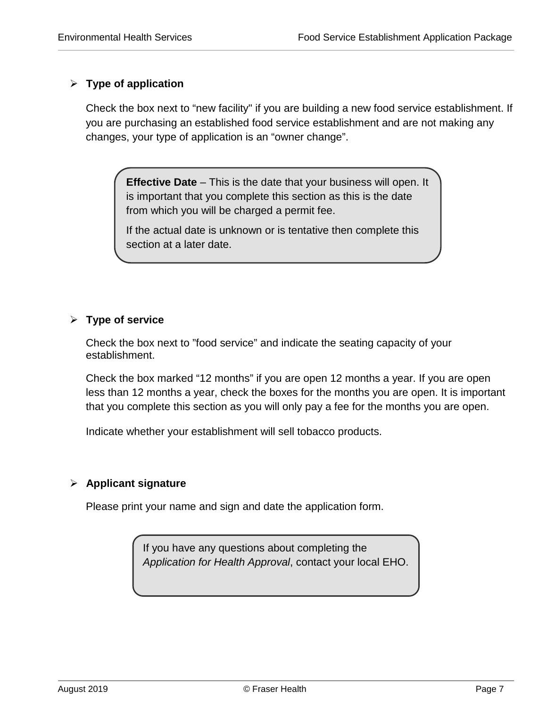## **Type of application**

Check the box next to "new facility" if you are building a new food service establishment. If you are purchasing an established food service establishment and are not making any changes, your type of application is an "owner change".

**Effective Date** – This is the date that your business will open. It is important that you complete this section as this is the date from which you will be charged a permit fee.

If the actual date is unknown or is tentative then complete this section at a later date.

## **Type of service**

Check the box next to "food service" and indicate the seating capacity of your establishment.

Check the box marked "12 months" if you are open 12 months a year. If you are open less than 12 months a year, check the boxes for the months you are open. It is important that you complete this section as you will only pay a fee for the months you are open.

Indicate whether your establishment will sell tobacco products.

## **Applicant signature**

Please print your name and sign and date the application form.

If you have any questions about completing the *Application for Health Approval*, contact your local EHO.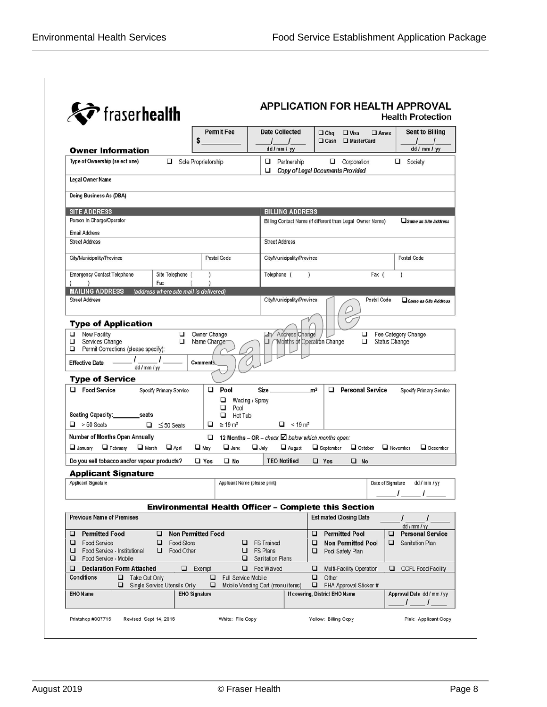|                                                                                                         | <b>Permit Fee</b>                               | <b>Date Collected</b>                                       | $\Box$ Chq<br>$\Box$ Visa<br>$\Box$ Amex                  | Sent to Billing                              |
|---------------------------------------------------------------------------------------------------------|-------------------------------------------------|-------------------------------------------------------------|-----------------------------------------------------------|----------------------------------------------|
|                                                                                                         | \$                                              | $\prime$<br>$\sqrt{ }$                                      | $\Box$ Cash<br>MasterCard                                 | $\prime$                                     |
| <b>Owner Information</b>                                                                                |                                                 | dd / mm / yy                                                |                                                           | dd / mm / yy                                 |
| Type of Ownership (select one)<br>❏                                                                     | Sole Proprietorship                             | □<br>Partnership<br>□                                       | $\Box$ Corporation<br>Copy of Legal Documents Provided    | □<br>Society                                 |
| <b>Legal Owner Name</b>                                                                                 |                                                 |                                                             |                                                           |                                              |
| Doing Business As (DBA)                                                                                 |                                                 |                                                             |                                                           |                                              |
| <b>SITE ADDRESS</b>                                                                                     |                                                 | <b>BILLING ADDRESS</b>                                      |                                                           |                                              |
| Person In Charge/Operator                                                                               |                                                 |                                                             | Billing Contact Name (if different than Legal Owner Name) | $\square$ Same as Site Address               |
| <b>Email Address</b>                                                                                    |                                                 |                                                             |                                                           |                                              |
| <b>Street Address</b>                                                                                   |                                                 | <b>Street Address</b>                                       |                                                           |                                              |
| City/Municipality/Province                                                                              | Postal Code                                     | City/Municipality/Province                                  |                                                           | <b>Postal Code</b>                           |
| <b>Emergency Contact Telephone</b><br>Site Telephone (                                                  | $\mathcal{E}$                                   | Telephone (<br>$\lambda$                                    | Fax $($                                                   | $\mathcal{E}$                                |
| Fax<br><b>MAILING ADDRESS</b><br>(address where site mail is delivered)                                 |                                                 |                                                             |                                                           |                                              |
| <b>Street Address</b>                                                                                   |                                                 | City/Municipality/Province                                  | Postal Code                                               | $\Box$ Same as Site Address                  |
| <b>Type of Application</b>                                                                              |                                                 |                                                             |                                                           |                                              |
| □<br><b>New Facility</b><br>□<br>□<br>Services Change<br>▫<br>Permit Corrections (please specify):<br>❏ | Owner Change<br>Name Change                     | <b>21/ Address Change</b><br>Months of Operation Change     | □<br>□                                                    | Fee Category Change<br><b>Status Change</b>  |
|                                                                                                         |                                                 |                                                             |                                                           |                                              |
| <b>Effective Date</b><br>dd / mm / yy                                                                   | <b>Comments</b>                                 |                                                             |                                                           |                                              |
| <b>Type of Service</b>                                                                                  |                                                 |                                                             |                                                           |                                              |
| <b>Food Service</b><br>□<br>Specify Primary Service                                                     | □<br>Pool<br>□<br>Wading / Spray                | Size                                                        | <b>Personal Service</b><br>m <sup>2</sup>                 | Specify Primary Service                      |
|                                                                                                         | □<br>Pod                                        |                                                             |                                                           |                                              |
| Seating Capacity:__________seats<br>$\Box$ > 50 Seats<br>$\Box$ $\leq$ 50 Seats                         | □<br>Hot Tub<br>$\Box$ $\geq$ 19 m <sup>2</sup> | $\Box$ < 19 m <sup>2</sup>                                  |                                                           |                                              |
| Number of Months Open Annually                                                                          | ▫                                               | 12 Months - OR - check $\boxtimes$ below which months open: |                                                           |                                              |
| $\Box$ February<br>$\Box$ March<br>$\Box$ April<br>$\Box$ January                                       | $\Box$ June<br>$\Box$ May                       | $\Box$ July<br>$\Box$ August                                | $\Box$ September<br>$\Box$ October                        | $\Box$ November<br>$\Box$ December           |
| Do you sell tobacco and/or vapour products?                                                             | $\Box$ Yes<br>$\square$ No                      | <b>TEO Notified</b>                                         | $\Box$ Yes<br>$\Box$ No                                   |                                              |
| <b>Applicant Signature</b>                                                                              |                                                 |                                                             |                                                           |                                              |
| Applicant Signature                                                                                     | Applicant Name (please print)                   |                                                             | Date of Signature                                         | dd / mm / yy                                 |
|                                                                                                         |                                                 |                                                             | Environmental Health Officer - Complete this Section      |                                              |
| <b>Previous Name of Premises</b>                                                                        |                                                 |                                                             | <b>Estimated Closing Date</b>                             |                                              |
| <b>Permitted Food</b><br>□<br>u                                                                         | <b>Non Permitted Food</b>                       |                                                             | <b>Permitted Pool</b><br>□                                | dd / mm / yy<br><b>Personal Service</b><br>❏ |
| ❏<br>Food Service<br>□<br>Food Store<br>Food Other<br>❏<br>Food Service - Institutional<br>❏            | ❏<br>□                                          | <b>FS Trained</b><br><b>FS Plans</b>                        | □<br><b>Non Permitted Pool</b><br>□<br>Pool Safety Plan   | ❏<br><b>Sanitation Plan</b>                  |
| □<br>Food Service - Mobile                                                                              | □                                               | <b>Sanitation Plans</b>                                     |                                                           |                                              |
| □<br><b>Declaration Form Attached</b>                                                                   | $\Box$ Exempt<br>□                              | Fee Waived                                                  | u<br>Multi-Facility Operation                             | CCFL Food Facility                           |
| Conditions<br>$\Box$ Take Out Only                                                                      | □<br>Full Service Mobile<br>□                   | Mobile Vending Cart (menu items)                            | □<br>Other<br>□<br>FHA Approval Sticker #                 |                                              |
| □<br>Single Service Utensils Only                                                                       |                                                 |                                                             |                                                           |                                              |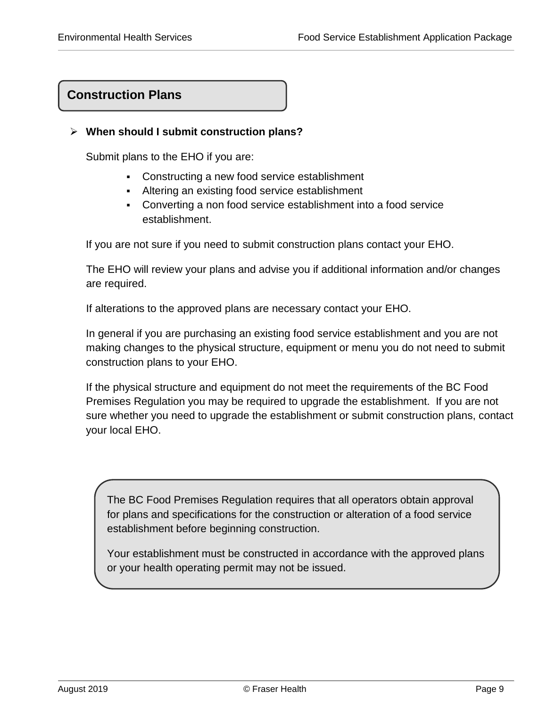## **Construction Plans**

## **When should I submit construction plans?**

Submit plans to the EHO if you are:

- <span id="page-9-0"></span>Constructing a new food service establishment
- Altering an existing food service establishment
- Converting a non food service establishment into a food service establishment.

If you are not sure if you need to submit construction plans contact your EHO.

The EHO will review your plans and advise you if additional information and/or changes are required.

If alterations to the approved plans are necessary contact your EHO.

In general if you are purchasing an existing food service establishment and you are not making changes to the physical structure, equipment or menu you do not need to submit construction plans to your EHO.

If the physical structure and equipment do not meet the requirements of the BC Food Premises Regulation you may be required to upgrade the establishment. If you are not sure whether you need to upgrade the establishment or submit construction plans, contact your local EHO.

The BC Food Premises Regulation requires that all operators obtain approval for plans and specifications for the construction or alteration of a food service establishment before beginning construction.

Your establishment must be constructed in accordance with the approved plans or your health operating permit may not be issued.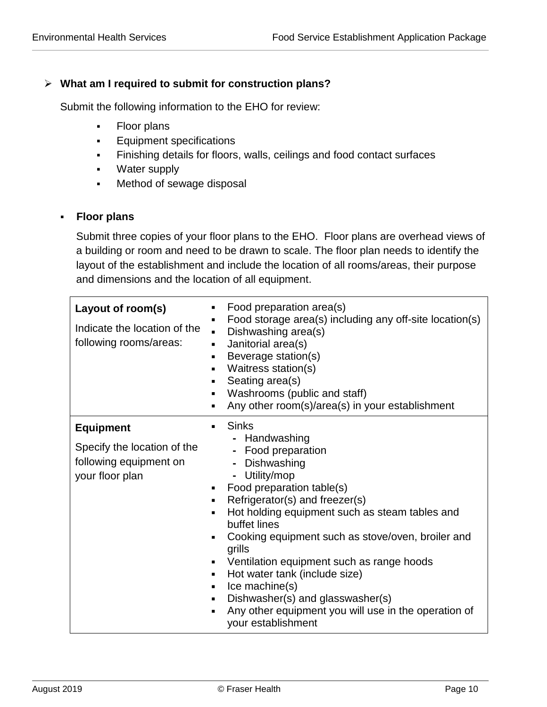#### **What am I required to submit for construction plans?**

Submit the following information to the EHO for review:

- Floor plans
- **Equipment specifications**
- Finishing details for floors, walls, ceilings and food contact surfaces
- **Water supply**
- **Method of sewage disposal**

#### **Floor plans**

Submit three copies of your floor plans to the EHO. Floor plans are overhead views of a building or room and need to be drawn to scale. The floor plan needs to identify the layout of the establishment and include the location of all rooms/areas, their purpose and dimensions and the location of all equipment.

| Layout of room(s)<br>Indicate the location of the<br>following rooms/areas:                  | Food preparation area(s)<br>٠<br>Food storage area(s) including any off-site location(s)<br>٠<br>Dishwashing area(s)<br>$\blacksquare$<br>Janitorial area(s)<br>$\blacksquare$<br>Beverage station(s)<br>٠<br>Waitress station(s)<br>٠<br>Seating area(s)<br>٠<br>Washrooms (public and staff)<br>٠<br>Any other room(s)/area(s) in your establishment<br>٠                                                                                                                                                                                                                       |
|----------------------------------------------------------------------------------------------|-----------------------------------------------------------------------------------------------------------------------------------------------------------------------------------------------------------------------------------------------------------------------------------------------------------------------------------------------------------------------------------------------------------------------------------------------------------------------------------------------------------------------------------------------------------------------------------|
| <b>Equipment</b><br>Specify the location of the<br>following equipment on<br>your floor plan | <b>Sinks</b><br>п<br>- Handwashing<br>- Food preparation<br>Dishwashing<br>- Utility/mop<br>Food preparation table(s)<br>$\blacksquare$<br>Refrigerator(s) and freezer(s)<br>٠<br>Hot holding equipment such as steam tables and<br>٠<br>buffet lines<br>Cooking equipment such as stove/oven, broiler and<br>٠<br>grills<br>Ventilation equipment such as range hoods<br>٠<br>Hot water tank (include size)<br>$\blacksquare$<br>Ice machine(s)<br>٠<br>Dishwasher(s) and glasswasher(s)<br>٠<br>Any other equipment you will use in the operation of<br>٠<br>your establishment |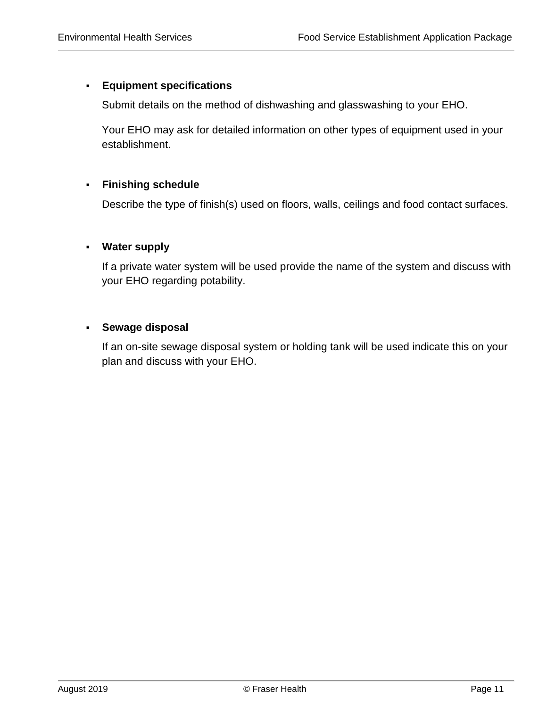#### **Equipment specifications**

Submit details on the method of dishwashing and glasswashing to your EHO.

Your EHO may ask for detailed information on other types of equipment used in your establishment.

## **Finishing schedule**

Describe the type of finish(s) used on floors, walls, ceilings and food contact surfaces.

#### **Water supply**

If a private water system will be used provide the name of the system and discuss with your EHO regarding potability.

#### **Sewage disposal**

If an on-site sewage disposal system or holding tank will be used indicate this on your plan and discuss with your EHO.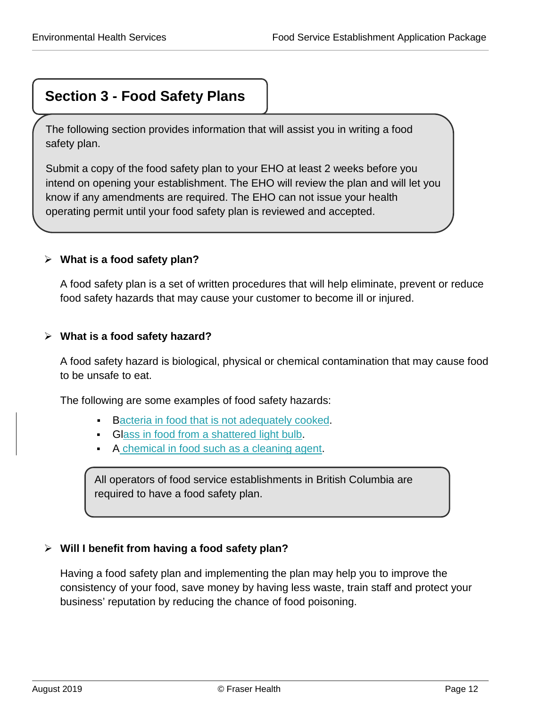# <span id="page-12-0"></span>**Section 3 - Food Safety Plans**

The following section provides information that will assist you in writing a food safety plan.

Submit a copy of the food safety plan to your EHO at least 2 weeks before you intend on opening your establishment. The EHO will review the plan and will let you know if any amendments are required. The EHO can not issue your health operating permit until your food safety plan is reviewed and accepted.

## **What is a food safety plan?**

A food safety plan is a set of written procedures that will help eliminate, prevent or reduce food safety hazards that may cause your customer to become ill or injured.

## **What is a food safety hazard?**

A food safety hazard is biological, physical or chemical contamination that may cause food to be unsafe to eat.

The following are some examples of food safety hazards:

- Bacteria in food that is not adequately cooked.
- Glass in food from a shattered light bulb.
- A chemical in food such as a cleaning agent.

All operators of food service establishments in British Columbia are required to have a food safety plan.

## **Will I benefit from having a food safety plan?**

Having a food safety plan and implementing the plan may help you to improve the consistency of your food, save money by having less waste, train staff and protect your business' reputation by reducing the chance of food poisoning.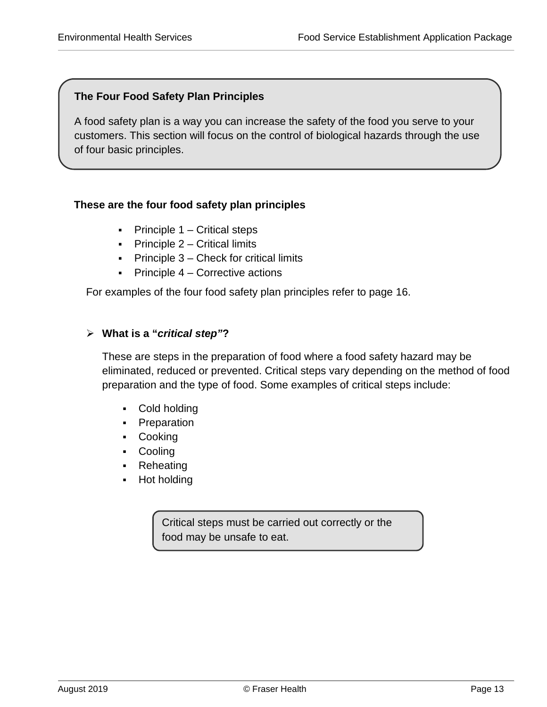## <span id="page-13-0"></span>**The Four Food Safety Plan Principles**

A food safety plan is a way you can increase the safety of the food you serve to your customers. This section will focus on the control of biological hazards through the use of four basic principles.

## **These are the four food safety plan principles**

- **Principle 1 Critical steps**
- **Principle 2 Critical limits**
- **Principle 3 Check for critical limits**
- $\blacksquare$  Principle 4 Corrective actions

For examples of the four food safety plan principles refer to page 16.

## **What is a "***critical step"***?**

These are steps in the preparation of food where a food safety hazard may be eliminated, reduced or prevented. Critical steps vary depending on the method of food preparation and the type of food. Some examples of critical steps include:

- Cold holding
- Preparation
- Cooking
- Cooling
- Reheating
- Hot holding

Critical steps must be carried out correctly or the food may be unsafe to eat.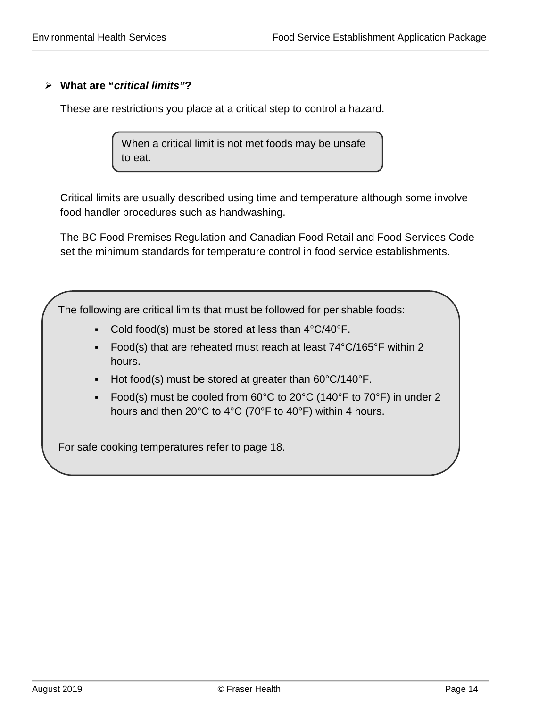## **What are "***critical limits"***?**

These are restrictions you place at a critical step to control a hazard.

When a critical limit is not met foods may be unsafe to eat.

Critical limits are usually described using time and temperature although some involve food handler procedures such as handwashing.

The BC Food Premises Regulation and Canadian Food Retail and Food Services Code set the minimum standards for temperature control in food service establishments.

The following are critical limits that must be followed for perishable foods:

- Cold food(s) must be stored at less than  $4^{\circ}C/40^{\circ}F$ .
- Food(s) that are reheated must reach at least 74°C/165°F within 2 hours.
- Hot food(s) must be stored at greater than  $60^{\circ}C/140^{\circ}F$ .
- Food(s) must be cooled from  $60^{\circ}$ C to  $20^{\circ}$ C (140°F to  $70^{\circ}$ F) in under 2 hours and then 20°C to 4°C (70°F to 40°F) within 4 hours.

For safe cooking temperatures refer to page 18.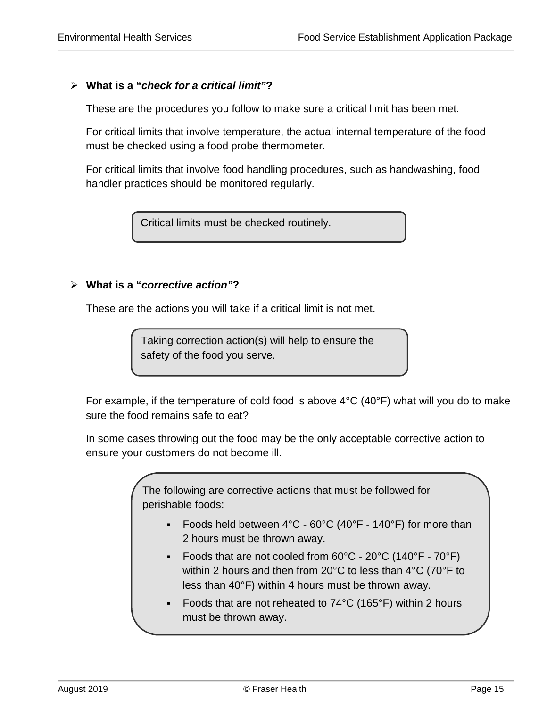#### **What is a "***check for a critical limit"***?**

These are the procedures you follow to make sure a critical limit has been met.

For critical limits that involve temperature, the actual internal temperature of the food must be checked using a food probe thermometer.

For critical limits that involve food handling procedures, such as handwashing, food handler practices should be monitored regularly.

Critical limits must be checked routinely.

#### **What is a "***corrective action"***?**

These are the actions you will take if a critical limit is not met.

Taking correction action(s) will help to ensure the safety of the food you serve.

For example, if the temperature of cold food is above 4°C (40°F) what will you do to make sure the food remains safe to eat?

In some cases throwing out the food may be the only acceptable corrective action to ensure your customers do not become ill.

> The following are corrective actions that must be followed for perishable foods:

- Foods held between  $4^{\circ}$ C 60 $^{\circ}$ C (40 $^{\circ}$ F 140 $^{\circ}$ F) for more than 2 hours must be thrown away.
- Foods that are not cooled from  $60^{\circ}$ C  $20^{\circ}$ C (140°F  $70^{\circ}$ F) within 2 hours and then from 20°C to less than 4°C (70°F to less than 40°F) within 4 hours must be thrown away.
- Foods that are not reheated to 74°C (165°F) within 2 hours must be thrown away.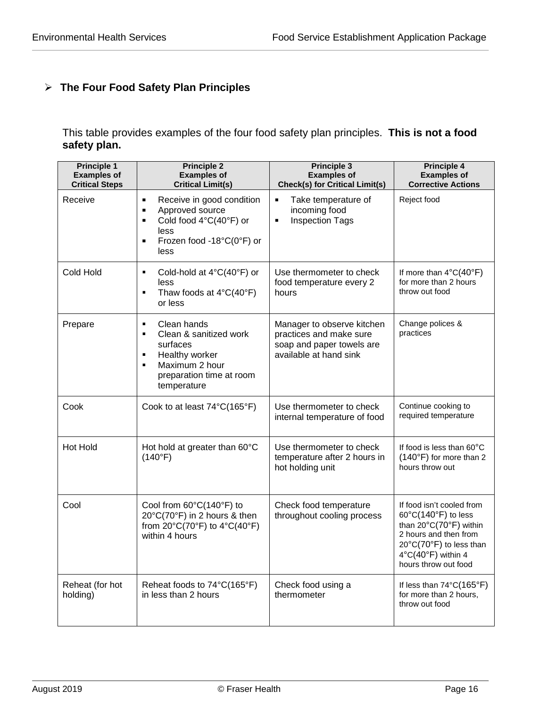## **The Four Food Safety Plan Principles**

## This table provides examples of the four food safety plan principles. **This is not a food safety plan.**

| <b>Principle 1</b><br><b>Examples of</b><br><b>Critical Steps</b> | <b>Principle 2</b><br><b>Examples of</b><br><b>Critical Limit(s)</b>                                                                                                                        | <b>Principle 3</b><br><b>Examples of</b><br><b>Check(s) for Critical Limit(s)</b>                            | <b>Principle 4</b><br><b>Examples of</b><br><b>Corrective Actions</b>                                                                                                        |
|-------------------------------------------------------------------|---------------------------------------------------------------------------------------------------------------------------------------------------------------------------------------------|--------------------------------------------------------------------------------------------------------------|------------------------------------------------------------------------------------------------------------------------------------------------------------------------------|
| Receive                                                           | Receive in good condition<br>$\blacksquare$<br>Approved source<br>$\blacksquare$<br>Cold food 4°C(40°F) or<br>$\blacksquare$<br>less<br>Frozen food -18°C(0°F) or<br>$\blacksquare$<br>less | $\blacksquare$<br>Take temperature of<br>incoming food<br><b>Inspection Tags</b><br>$\blacksquare$           | Reject food                                                                                                                                                                  |
| Cold Hold                                                         | Cold-hold at $4^{\circ}C(40^{\circ}F)$ or<br>$\blacksquare$<br>less<br>Thaw foods at 4°C(40°F)<br>٠<br>or less                                                                              | Use thermometer to check<br>food temperature every 2<br>hours                                                | If more than $4^{\circ}C(40^{\circ}F)$<br>for more than 2 hours<br>throw out food                                                                                            |
| Prepare                                                           | Clean hands<br>٠<br>Clean & sanitized work<br>$\blacksquare$<br>surfaces<br>Healthy worker<br>٠<br>Maximum 2 hour<br>٠<br>preparation time at room<br>temperature                           | Manager to observe kitchen<br>practices and make sure<br>soap and paper towels are<br>available at hand sink | Change polices &<br>practices                                                                                                                                                |
| Cook                                                              | Cook to at least 74°C(165°F)                                                                                                                                                                | Use thermometer to check<br>internal temperature of food                                                     | Continue cooking to<br>required temperature                                                                                                                                  |
| <b>Hot Hold</b>                                                   | Hot hold at greater than 60°C<br>(140°F)                                                                                                                                                    | Use thermometer to check<br>temperature after 2 hours in<br>hot holding unit                                 | If food is less than 60°C<br>(140°F) for more than 2<br>hours throw out                                                                                                      |
| Cool                                                              | Cool from 60°C(140°F) to<br>20°C(70°F) in 2 hours & then<br>from 20°C(70°F) to 4°C(40°F)<br>within 4 hours                                                                                  | Check food temperature<br>throughout cooling process                                                         | If food isn't cooled from<br>60°C(140°F) to less<br>than 20°C(70°F) within<br>2 hours and then from<br>20°C(70°F) to less than<br>4°C(40°F) within 4<br>hours throw out food |
| Reheat (for hot<br>holding)                                       | Reheat foods to 74°C(165°F)<br>in less than 2 hours                                                                                                                                         | Check food using a<br>thermometer                                                                            | If less than 74°C(165°F)<br>for more than 2 hours,<br>throw out food                                                                                                         |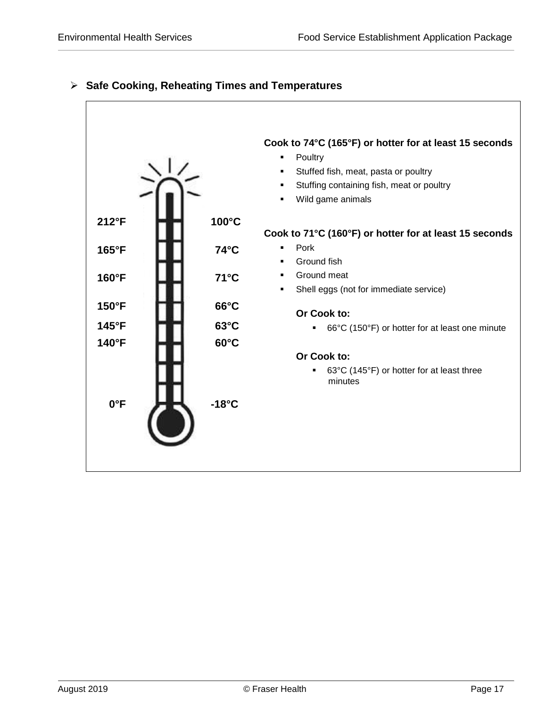

## **Safe Cooking, Reheating Times and Temperatures**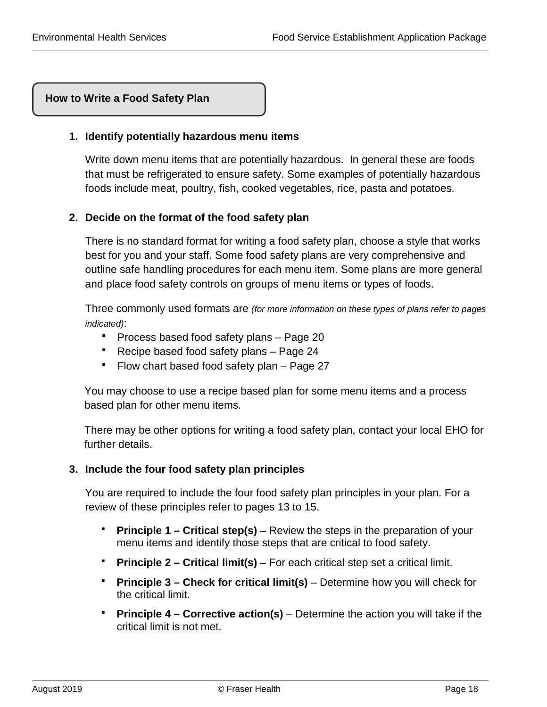## **How to Write a Food Safety Plan**

## **1. Identify potentially hazardous menu items**

<span id="page-18-0"></span>Write down menu items that are potentially hazardous. In general these are foods that must be refrigerated to ensure safety. Some examples of potentially hazardous foods include meat, poultry, fish, cooked vegetables, rice, pasta and potatoes.

## **2. Decide on the format of the food safety plan**

There is no standard format for writing a food safety plan, choose a style that works best for you and your staff. Some food safety plans are very comprehensive and outline safe handling procedures for each menu item. Some plans are more general and place food safety controls on groups of menu items or types of foods.

Three commonly used formats are *(for more information on these types of plans refer to pages indicated)*:

- **Process based food safety plans Page 20**
- Recipe based food safety plans Page 24
- Flow chart based food safety plan Page 27

You may choose to use a recipe based plan for some menu items and a process based plan for other menu items.

There may be other options for writing a food safety plan, contact your local EHO for further details.

#### **3. Include the four food safety plan principles**

You are required to include the four food safety plan principles in your plan. For a review of these principles refer to pages 13 to 15.

- **Principle 1 Critical step(s)** Review the steps in the preparation of your menu items and identify those steps that are critical to food safety.
- **Principle 2 – Critical limit(s)** For each critical step set a critical limit.
- **Principle 3 Check for critical limit(s)** Determine how you will check for the critical limit.
- **Principle 4 Corrective action(s) –** Determine the action you will take if the critical limit is not met.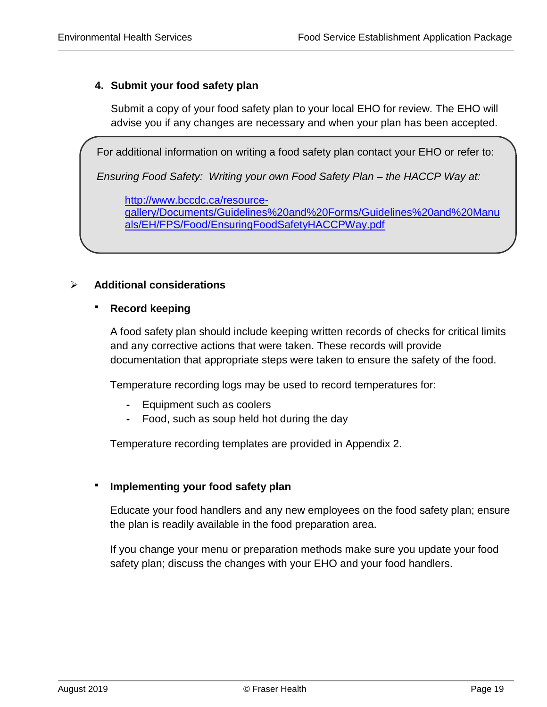## **4. Submit your food safety plan**

Submit a copy of your food safety plan to your local EHO for review. The EHO will advise you if any changes are necessary and when your plan has been accepted.

For additional information on writing a food safety plan contact your EHO or refer to:

*Ensuring Food Safety: Writing your own Food Safety Plan – the HACCP Way at:*

[http://www.bccdc.ca/resource-](http://www.bccdc.ca/resource-gallery/Documents/Guidelines%20and%20Forms/Guidelines%20and%20Manuals/EH/FPS/Food/EnsuringFoodSafetyHACCPWay.pdf)

[gallery/Documents/Guidelines%20and%20Forms/Guidelines%20and%20Manu](http://www.bccdc.ca/resource-gallery/Documents/Guidelines%20and%20Forms/Guidelines%20and%20Manuals/EH/FPS/Food/EnsuringFoodSafetyHACCPWay.pdf) [als/EH/FPS/Food/EnsuringFoodSafetyHACCPWay.pdf](http://www.bccdc.ca/resource-gallery/Documents/Guidelines%20and%20Forms/Guidelines%20and%20Manuals/EH/FPS/Food/EnsuringFoodSafetyHACCPWay.pdf)

#### **Additional considerations**

#### **Record keeping**

A food safety plan should include keeping written records of checks for critical limits and any corrective actions that were taken. These records will provide documentation that appropriate steps were taken to ensure the safety of the food.

Temperature recording logs may be used to record temperatures for:

- **-** Equipment such as coolers
- **-** Food, such as soup held hot during the day

Temperature recording templates are provided in Appendix 2.

#### **Implementing your food safety plan**

Educate your food handlers and any new employees on the food safety plan; ensure the plan is readily available in the food preparation area.

If you change your menu or preparation methods make sure you update your food safety plan; discuss the changes with your EHO and your food handlers.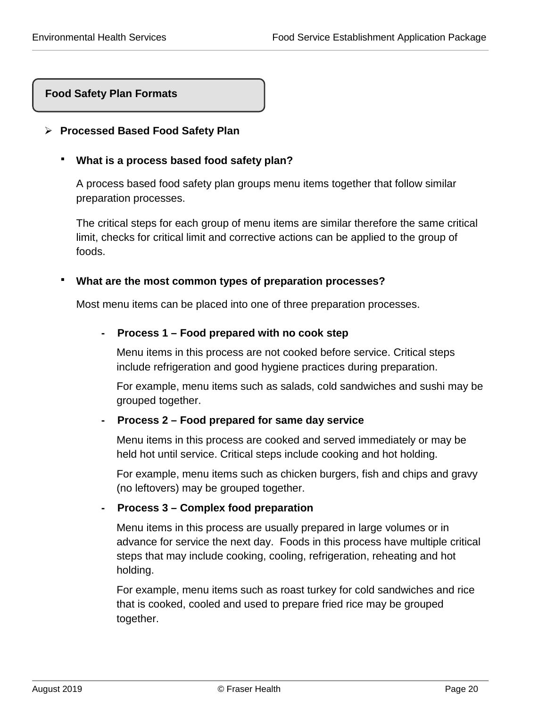j

## **Food Safety Plan Formats**

#### <span id="page-20-1"></span>**Processed Based Food Safety Plan**

#### **What is a process based food safety plan?**

<span id="page-20-0"></span>A process based food safety plan groups menu items together that follow similar preparation processes.

The critical steps for each group of menu items are similar therefore the same critical limit, checks for critical limit and corrective actions can be applied to the group of foods.

#### **What are the most common types of preparation processes?**

Most menu items can be placed into one of three preparation processes.

#### **- Process 1 – Food prepared with no cook step**

Menu items in this process are not cooked before service. Critical steps include refrigeration and good hygiene practices during preparation.

For example, menu items such as salads, cold sandwiches and sushi may be grouped together.

#### **- Process 2 – Food prepared for same day service**

Menu items in this process are cooked and served immediately or may be held hot until service. Critical steps include cooking and hot holding.

For example, menu items such as chicken burgers, fish and chips and gravy (no leftovers) may be grouped together.

#### **- Process 3 – Complex food preparation**

Menu items in this process are usually prepared in large volumes or in advance for service the next day. Foods in this process have multiple critical steps that may include cooking, cooling, refrigeration, reheating and hot holding.

For example, menu items such as roast turkey for cold sandwiches and rice that is cooked, cooled and used to prepare fried rice may be grouped together.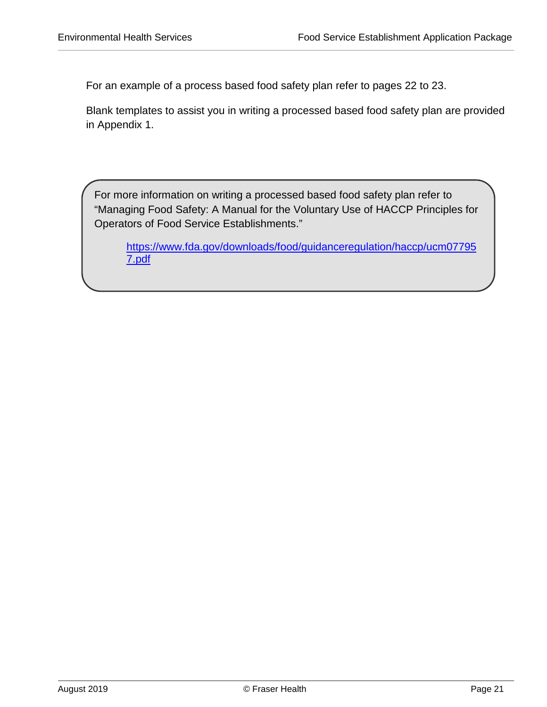For an example of a process based food safety plan refer to pages 22 to 23.

Blank templates to assist you in writing a processed based food safety plan are provided in Appendix 1.

For more information on writing a processed based food safety plan refer to "Managing Food Safety: A Manual for the Voluntary Use of HACCP Principles for Operators of Food Service Establishments."

[https://www.fda.gov/downloads/food/guidanceregulation/haccp/ucm07795](https://www.fda.gov/downloads/food/guidanceregulation/haccp/ucm077957.pdf) [7.pdf](https://www.fda.gov/downloads/food/guidanceregulation/haccp/ucm077957.pdf)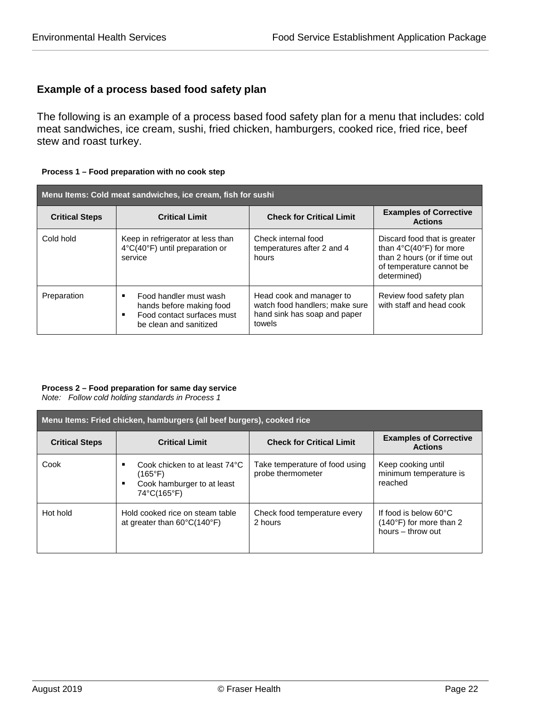## **Example of a process based food safety plan**

The following is an example of a process based food safety plan for a menu that includes: cold meat sandwiches, ice cream, sushi, fried chicken, hamburgers, cooked rice, fried rice, beef stew and roast turkey.

#### **Process 1 – Food preparation with no cook step**

| Menu Items: Cold meat sandwiches, ice cream, fish for sushi |                                                                                                                      |                                                                                                      |                                                                                                                                                    |  |
|-------------------------------------------------------------|----------------------------------------------------------------------------------------------------------------------|------------------------------------------------------------------------------------------------------|----------------------------------------------------------------------------------------------------------------------------------------------------|--|
| <b>Critical Steps</b>                                       | <b>Critical Limit</b>                                                                                                | <b>Check for Critical Limit</b>                                                                      | <b>Examples of Corrective</b><br><b>Actions</b>                                                                                                    |  |
| Cold hold                                                   | Keep in refrigerator at less than<br>4°C(40°F) until preparation or<br>service                                       | Check internal food<br>temperatures after 2 and 4<br>hours                                           | Discard food that is greater<br>than $4^{\circ}C(40^{\circ}F)$ for more<br>than 2 hours (or if time out<br>of temperature cannot be<br>determined) |  |
| Preparation                                                 | Food handler must wash<br>п<br>hands before making food<br>Food contact surfaces must<br>٠<br>be clean and sanitized | Head cook and manager to<br>watch food handlers; make sure<br>hand sink has soap and paper<br>towels | Review food safety plan<br>with staff and head cook                                                                                                |  |

#### **Process 2 – Food preparation for same day service**

*Note: Follow cold holding standards in Process 1*

| Menu Items: Fried chicken, hamburgers (all beef burgers), cooked rice |                                                                                                          |                                                     |                                                                                          |  |
|-----------------------------------------------------------------------|----------------------------------------------------------------------------------------------------------|-----------------------------------------------------|------------------------------------------------------------------------------------------|--|
| <b>Critical Steps</b>                                                 | <b>Critical Limit</b>                                                                                    | <b>Check for Critical Limit</b>                     | <b>Examples of Corrective</b><br><b>Actions</b>                                          |  |
| Cook                                                                  | Cook chicken to at least 74°C<br>٠<br>$(165^{\circ}F)$<br>Cook hamburger to at least<br>٠<br>74°C(165°F) | Take temperature of food using<br>probe thermometer | Keep cooking until<br>minimum temperature is<br>reached                                  |  |
| Hot hold                                                              | Hold cooked rice on steam table<br>at greater than $60^{\circ}$ C(140 $^{\circ}$ F)                      | Check food temperature every<br>2 hours             | If food is below $60^{\circ}$ C<br>$(140^{\circ}F)$ for more than 2<br>hours - throw out |  |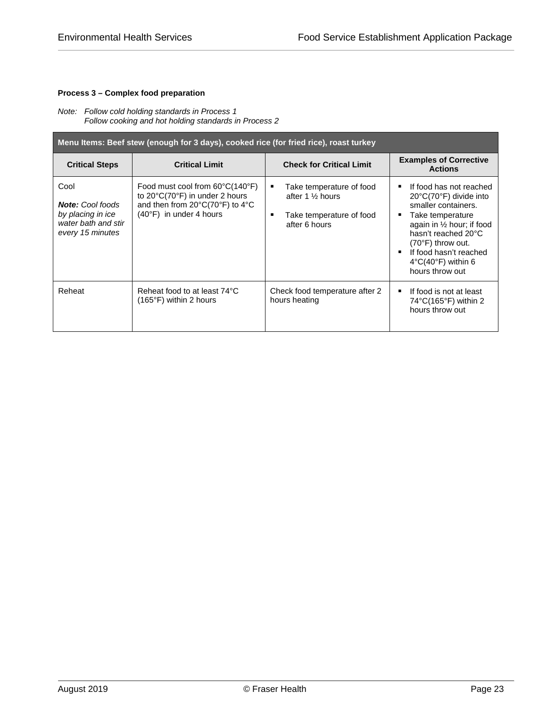#### **Process 3 – Complex food preparation**

#### *Note: Follow cold holding standards in Process 1 Follow cooking and hot holding standards in Process 2*

| Menu Items: Beef stew (enough for 3 days), cooked rice (for fried rice), roast turkey           |                                                                                                                                                                          |                                                                                                    |                                                                                                                                                                                                                                                                     |  |
|-------------------------------------------------------------------------------------------------|--------------------------------------------------------------------------------------------------------------------------------------------------------------------------|----------------------------------------------------------------------------------------------------|---------------------------------------------------------------------------------------------------------------------------------------------------------------------------------------------------------------------------------------------------------------------|--|
| <b>Critical Steps</b>                                                                           | <b>Critical Limit</b>                                                                                                                                                    | <b>Check for Critical Limit</b>                                                                    | <b>Examples of Corrective</b><br><b>Actions</b>                                                                                                                                                                                                                     |  |
| Cool<br><b>Note:</b> Cool foods<br>by placing in ice<br>water bath and stir<br>every 15 minutes | Food must cool from $60^{\circ}C(140^{\circ}F)$<br>to 20°C(70°F) in under 2 hours<br>and then from $20^{\circ}C(70^{\circ}F)$ to $4^{\circ}C$<br>(40°F) in under 4 hours | Take temperature of food<br>٠<br>after 1 % hours<br>Take temperature of food<br>п<br>after 6 hours | If food has not reached<br>20°C(70°F) divide into<br>smaller containers.<br>Take temperature<br>again in $\frac{1}{2}$ hour; if food<br>hasn't reached 20°C<br>(70°F) throw out.<br>If food hasn't reached<br>$4^{\circ}C(40^{\circ}F)$ within 6<br>hours throw out |  |
| Reheat                                                                                          | Reheat food to at least 74°C<br>$(165^{\circ}F)$ within 2 hours                                                                                                          | Check food temperature after 2<br>hours heating                                                    | If food is not at least<br>٠<br>$74^{\circ}$ C(165 $^{\circ}$ F) within 2<br>hours throw out                                                                                                                                                                        |  |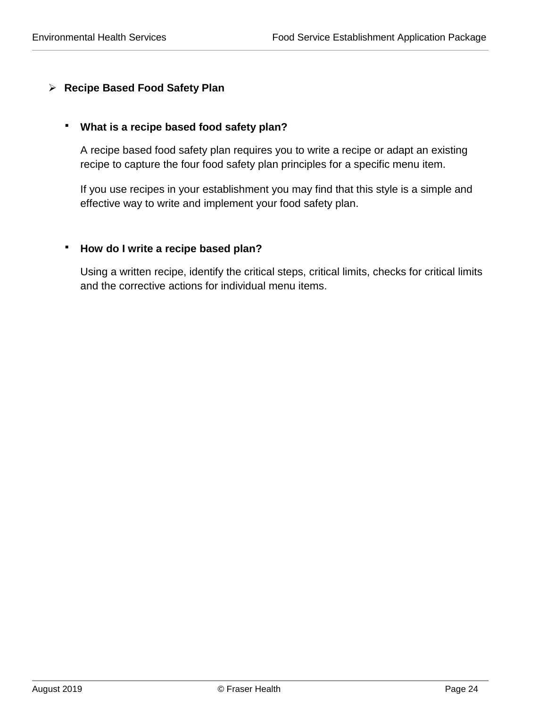## <span id="page-24-0"></span>**Recipe Based Food Safety Plan**

## **What is a recipe based food safety plan?**

A recipe based food safety plan requires you to write a recipe or adapt an existing recipe to capture the four food safety plan principles for a specific menu item.

If you use recipes in your establishment you may find that this style is a simple and effective way to write and implement your food safety plan.

## **How do I write a recipe based plan?**

Using a written recipe, identify the critical steps, critical limits, checks for critical limits and the corrective actions for individual menu items.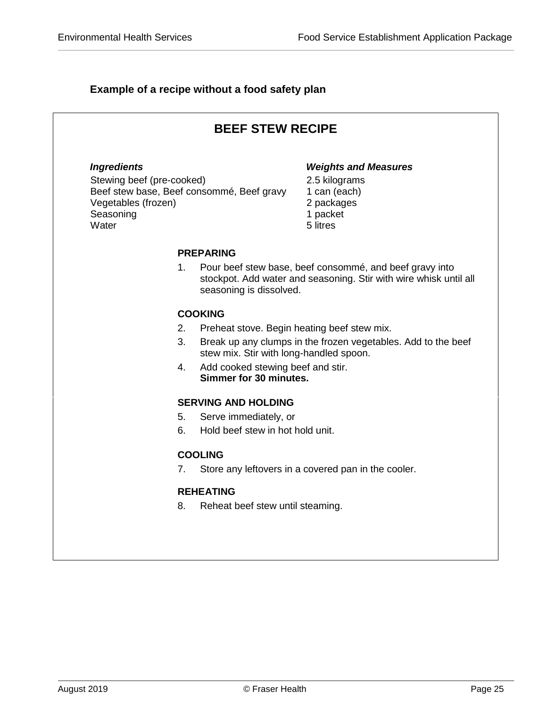## **Example of a recipe without a food safety plan**

| <b>BEEF STEW RECIPE</b>                                                                      |                                                                   |                                                                                                                              |  |
|----------------------------------------------------------------------------------------------|-------------------------------------------------------------------|------------------------------------------------------------------------------------------------------------------------------|--|
| <b>Ingredients</b><br>Stewing beef (pre-cooked)<br>Vegetables (frozen)<br>Seasoning<br>Water | Beef stew base, Beef consommé, Beef gravy                         | <b>Weights and Measures</b><br>2.5 kilograms<br>1 can (each)<br>2 packages<br>1 packet<br>5 litres                           |  |
|                                                                                              | <b>PREPARING</b>                                                  |                                                                                                                              |  |
|                                                                                              | 1.<br>seasoning is dissolved.                                     | Pour beef stew base, beef consommé, and beef gravy into<br>stockpot. Add water and seasoning. Stir with wire whisk until all |  |
|                                                                                              | <b>COOKING</b>                                                    |                                                                                                                              |  |
|                                                                                              | 2.<br>Preheat stove. Begin heating beef stew mix.                 |                                                                                                                              |  |
|                                                                                              | 3.<br>stew mix. Stir with long-handled spoon.                     | Break up any clumps in the frozen vegetables. Add to the beef                                                                |  |
|                                                                                              | Add cooked stewing beef and stir.<br>4.<br>Simmer for 30 minutes. |                                                                                                                              |  |
|                                                                                              | <b>SERVING AND HOLDING</b>                                        |                                                                                                                              |  |
|                                                                                              | 5.<br>Serve immediately, or                                       |                                                                                                                              |  |
|                                                                                              | 6.<br>Hold beef stew in hot hold unit.                            |                                                                                                                              |  |
|                                                                                              | <b>COOLING</b>                                                    |                                                                                                                              |  |
|                                                                                              | 7.                                                                | Store any leftovers in a covered pan in the cooler.                                                                          |  |
|                                                                                              | <b>REHEATING</b>                                                  |                                                                                                                              |  |
|                                                                                              | 8.<br>Reheat beef stew until steaming.                            |                                                                                                                              |  |
|                                                                                              |                                                                   |                                                                                                                              |  |
|                                                                                              |                                                                   |                                                                                                                              |  |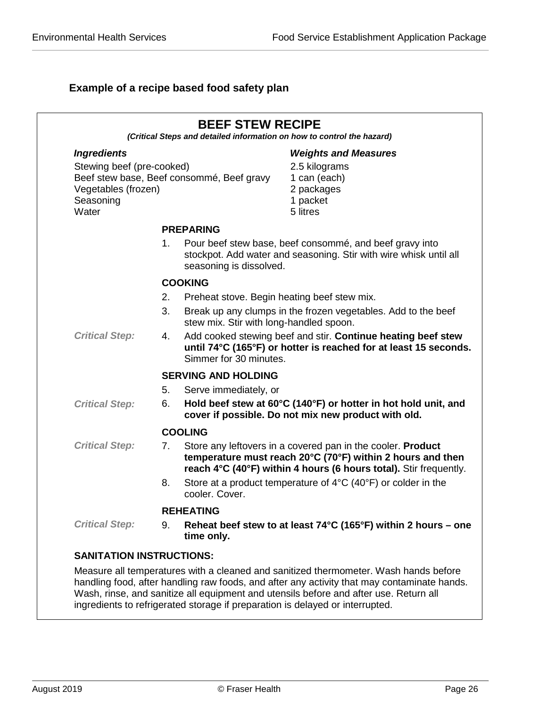## **Example of a recipe based food safety plan**

|                                                                        |    | <b>BEEF STEW RECIPE</b>                     | (Critical Steps and detailed information on how to control the hazard)                                                                                                                                |
|------------------------------------------------------------------------|----|---------------------------------------------|-------------------------------------------------------------------------------------------------------------------------------------------------------------------------------------------------------|
| <b>Ingredients</b>                                                     |    |                                             | <b>Weights and Measures</b>                                                                                                                                                                           |
| Stewing beef (pre-cooked)<br>Vegetables (frozen)<br>Seasoning<br>Water |    | Beef stew base, Beef consommé, Beef gravy   | 2.5 kilograms<br>1 can (each)<br>2 packages<br>1 packet<br>5 litres                                                                                                                                   |
|                                                                        |    | <b>PREPARING</b>                            |                                                                                                                                                                                                       |
|                                                                        | 1. | seasoning is dissolved.                     | Pour beef stew base, beef consommé, and beef gravy into<br>stockpot. Add water and seasoning. Stir with wire whisk until all                                                                          |
|                                                                        |    | <b>COOKING</b>                              |                                                                                                                                                                                                       |
|                                                                        | 2. | Preheat stove. Begin heating beef stew mix. |                                                                                                                                                                                                       |
|                                                                        | 3. | stew mix. Stir with long-handled spoon.     | Break up any clumps in the frozen vegetables. Add to the beef                                                                                                                                         |
| <b>Critical Step:</b>                                                  | 4. | Simmer for 30 minutes.                      | Add cooked stewing beef and stir. Continue heating beef stew<br>until 74°C (165°F) or hotter is reached for at least 15 seconds.                                                                      |
|                                                                        |    | <b>SERVING AND HOLDING</b>                  |                                                                                                                                                                                                       |
|                                                                        | 5. | Serve immediately, or                       |                                                                                                                                                                                                       |
| <b>Critical Step:</b>                                                  | 6. |                                             | Hold beef stew at 60°C (140°F) or hotter in hot hold unit, and<br>cover if possible. Do not mix new product with old.                                                                                 |
|                                                                        |    | <b>COOLING</b>                              |                                                                                                                                                                                                       |
| <b>Critical Step:</b>                                                  | 7. |                                             | Store any leftovers in a covered pan in the cooler. <b>Product</b><br>temperature must reach 20°C (70°F) within 2 hours and then<br>reach 4°C (40°F) within 4 hours (6 hours total). Stir frequently. |
|                                                                        | 8. | cooler. Cover.                              | Store at a product temperature of $4^{\circ}C$ (40 $^{\circ}F$ ) or colder in the                                                                                                                     |
|                                                                        |    | <b>REHEATING</b>                            |                                                                                                                                                                                                       |
| <b>Critical Step:</b>                                                  | 9. | time only.                                  | Reheat beef stew to at least $74^{\circ}$ C (165°F) within 2 hours – one                                                                                                                              |
| <b>SANITATION INSTRUCTIONS:</b>                                        |    |                                             |                                                                                                                                                                                                       |
|                                                                        |    |                                             | Measure all temperatures with a cleaned and sanitized thermometer. Wash hands before<br>handling food, after handling raw foods, and after any activity that may contaminate hands.                   |

Wash, rinse, and sanitize all equipment and utensils before and after use. Return all

ingredients to refrigerated storage if preparation is delayed or interrupted.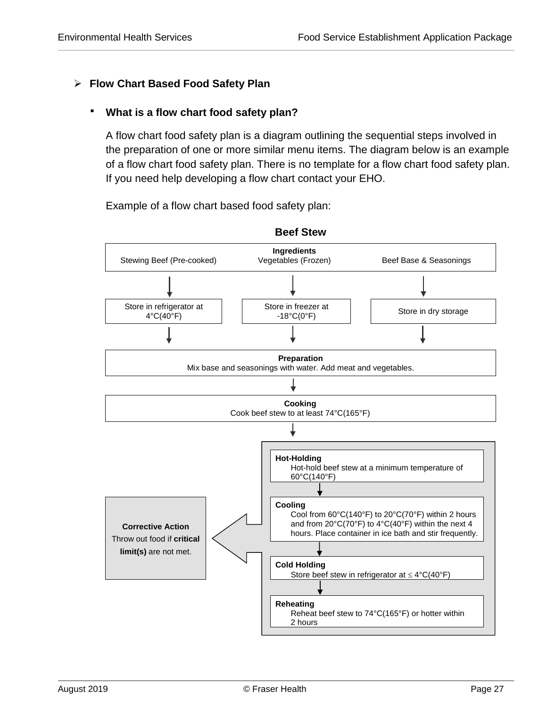## <span id="page-27-0"></span>**Flow Chart Based Food Safety Plan**

## **What is a flow chart food safety plan?**

A flow chart food safety plan is a diagram outlining the sequential steps involved in the preparation of one or more similar menu items. The diagram below is an example of a flow chart food safety plan. There is no template for a flow chart food safety plan. If you need help developing a flow chart contact your EHO.

Example of a flow chart based food safety plan:



**Beef Stew**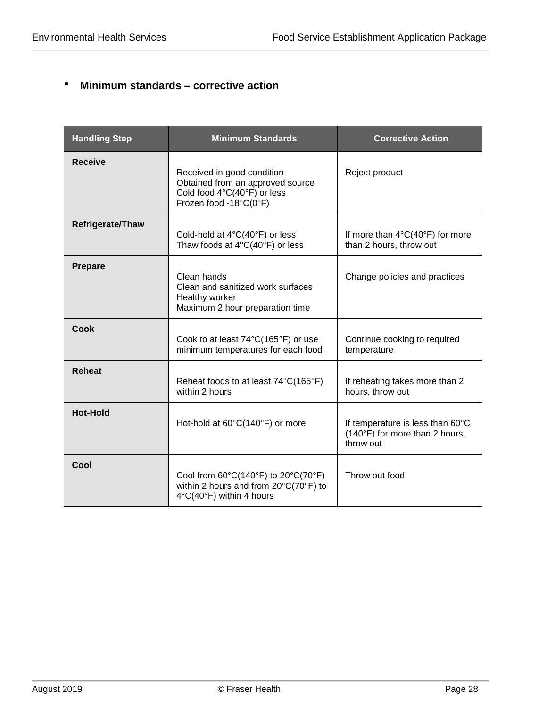## **Minimum standards – corrective action**

| <b>Handling Step</b> | <b>Minimum Standards</b>                                                                                                                 | <b>Corrective Action</b>                                                        |
|----------------------|------------------------------------------------------------------------------------------------------------------------------------------|---------------------------------------------------------------------------------|
| <b>Receive</b>       | Received in good condition<br>Obtained from an approved source<br>Cold food 4°C(40°F) or less<br>Frozen food -18°C(0°F)                  | Reject product                                                                  |
| Refrigerate/Thaw     | Cold-hold at $4^{\circ}C(40^{\circ}F)$ or less<br>Thaw foods at $4^{\circ}C(40^{\circ}F)$ or less                                        | If more than $4^{\circ}C(40^{\circ}F)$ for more<br>than 2 hours, throw out      |
| <b>Prepare</b>       | Clean hands<br>Clean and sanitized work surfaces<br>Healthy worker<br>Maximum 2 hour preparation time                                    | Change policies and practices                                                   |
| <b>Cook</b>          | Cook to at least 74°C(165°F) or use<br>minimum temperatures for each food                                                                | Continue cooking to required<br>temperature                                     |
| <b>Reheat</b>        | Reheat foods to at least 74°C(165°F)<br>within 2 hours                                                                                   | If reheating takes more than 2<br>hours, throw out                              |
| <b>Hot-Hold</b>      | Hot-hold at 60°C(140°F) or more                                                                                                          | If temperature is less than 60°C<br>(140°F) for more than 2 hours,<br>throw out |
| Cool                 | Cool from $60^{\circ}C(140^{\circ}F)$ to $20^{\circ}C(70^{\circ}F)$<br>within 2 hours and from 20°C(70°F) to<br>4°C(40°F) within 4 hours | Throw out food                                                                  |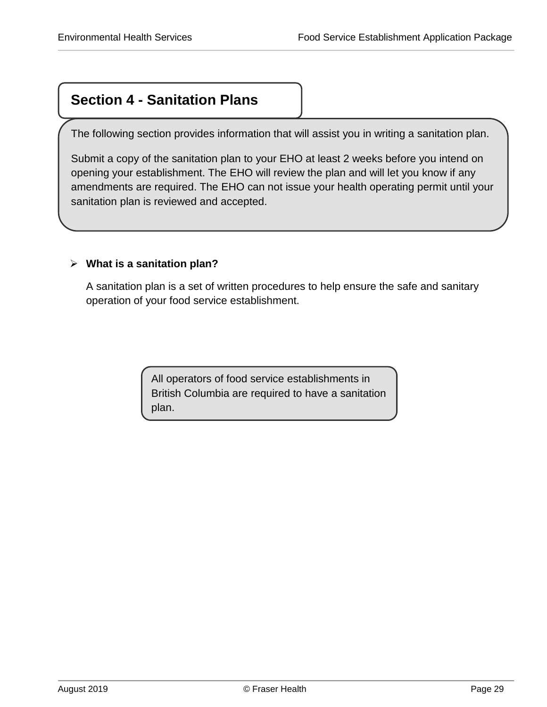# **Section 4 - Sanitation Plans**

The following section provides information that will assist you in writing a sanitation plan.

Submit a copy of the sanitation plan to your EHO at least 2 weeks before you intend on opening your establishment. The EHO will review the plan and will let you know if any amendments are required. The EHO can not issue your health operating permit until your sanitation plan is reviewed and accepted.

## <span id="page-29-0"></span>**What is a sanitation plan?**

A sanitation plan is a set of written procedures to help ensure the safe and sanitary operation of your food service establishment.

> All operators of food service establishments in British Columbia are required to have a sanitation plan.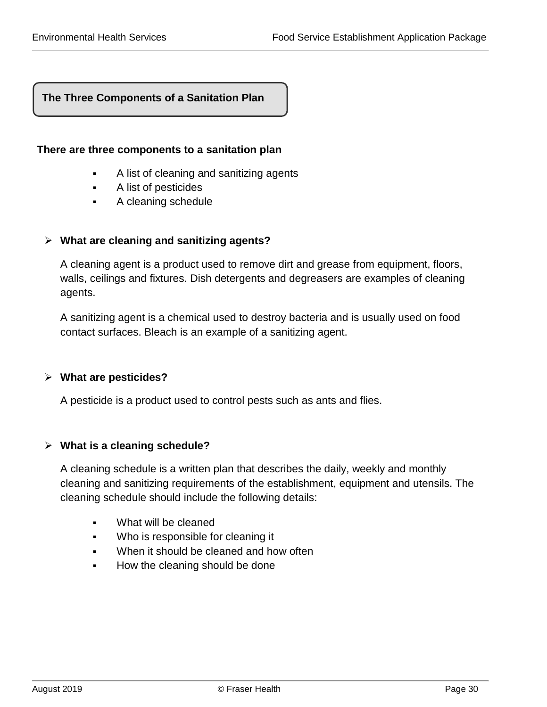## **The Three Components of a Sanitation Plan**

#### **There are three components to a sanitation plan**

- <span id="page-30-0"></span>A list of cleaning and sanitizing agents
- A list of pesticides
- A cleaning schedule

#### **What are cleaning and sanitizing agents?**

A cleaning agent is a product used to remove dirt and grease from equipment, floors, walls, ceilings and fixtures. Dish detergents and degreasers are examples of cleaning agents.

A sanitizing agent is a chemical used to destroy bacteria and is usually used on food contact surfaces. Bleach is an example of a sanitizing agent.

#### **What are pesticides?**

A pesticide is a product used to control pests such as ants and flies.

#### **What is a cleaning schedule?**

A cleaning schedule is a written plan that describes the daily, weekly and monthly cleaning and sanitizing requirements of the establishment, equipment and utensils. The cleaning schedule should include the following details:

- What will be cleaned
- Who is responsible for cleaning it
- When it should be cleaned and how often
- How the cleaning should be done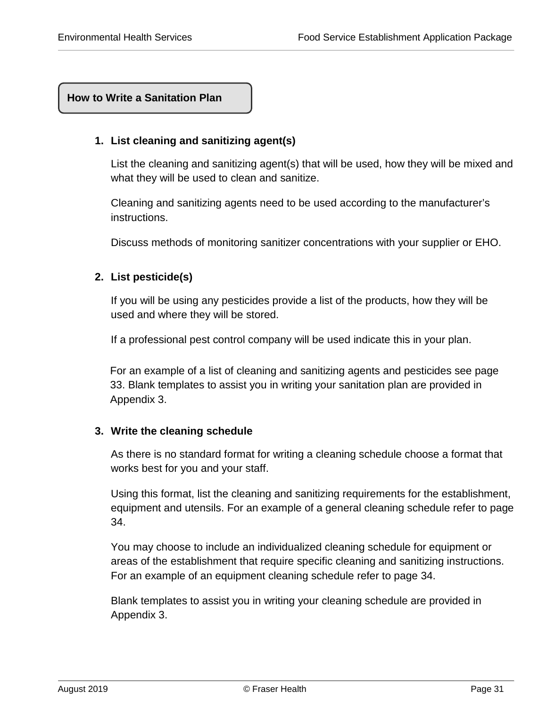## **How to Write a Sanitation Plan**

#### **1. List cleaning and sanitizing agent(s)**

<span id="page-31-0"></span>List the cleaning and sanitizing agent(s) that will be used, how they will be mixed and what they will be used to clean and sanitize.

Cleaning and sanitizing agents need to be used according to the manufacturer's instructions.

Discuss methods of monitoring sanitizer concentrations with your supplier or EHO.

## **2. List pesticide(s)**

If you will be using any pesticides provide a list of the products, how they will be used and where they will be stored.

If a professional pest control company will be used indicate this in your plan.

For an example of a list of cleaning and sanitizing agents and pesticides see page 33. Blank templates to assist you in writing your sanitation plan are provided in Appendix 3.

#### **3. Write the cleaning schedule**

As there is no standard format for writing a cleaning schedule choose a format that works best for you and your staff.

Using this format, list the cleaning and sanitizing requirements for the establishment, equipment and utensils. For an example of a general cleaning schedule refer to page 34.

You may choose to include an individualized cleaning schedule for equipment or areas of the establishment that require specific cleaning and sanitizing instructions. For an example of an equipment cleaning schedule refer to page 34.

Blank templates to assist you in writing your cleaning schedule are provided in Appendix 3.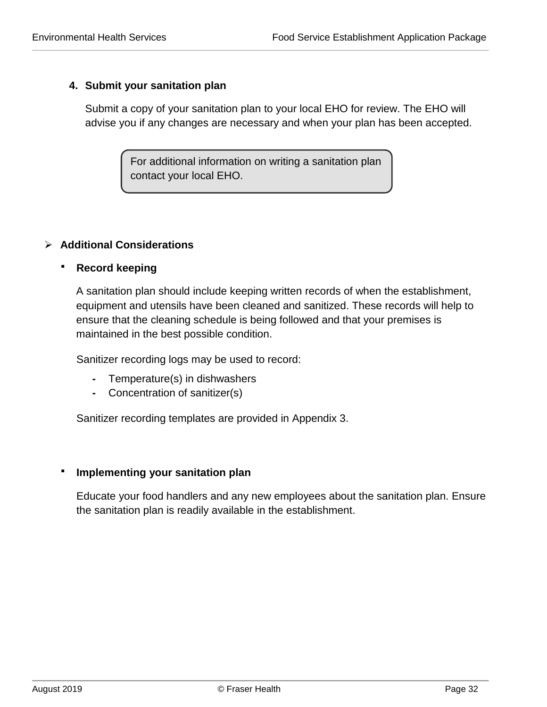## **4. Submit your sanitation plan**

Submit a copy of your sanitation plan to your local EHO for review. The EHO will advise you if any changes are necessary and when your plan has been accepted.

> For additional information on writing a sanitation plan contact your local EHO.

## **Additional Considerations**

## **Record keeping**

A sanitation plan should include keeping written records of when the establishment, equipment and utensils have been cleaned and sanitized. These records will help to ensure that the cleaning schedule is being followed and that your premises is maintained in the best possible condition.

Sanitizer recording logs may be used to record:

- **-** Temperature(s) in dishwashers
- **-** Concentration of sanitizer(s)

Sanitizer recording templates are provided in Appendix 3.

## **Implementing your sanitation plan**

Educate your food handlers and any new employees about the sanitation plan. Ensure the sanitation plan is readily available in the establishment.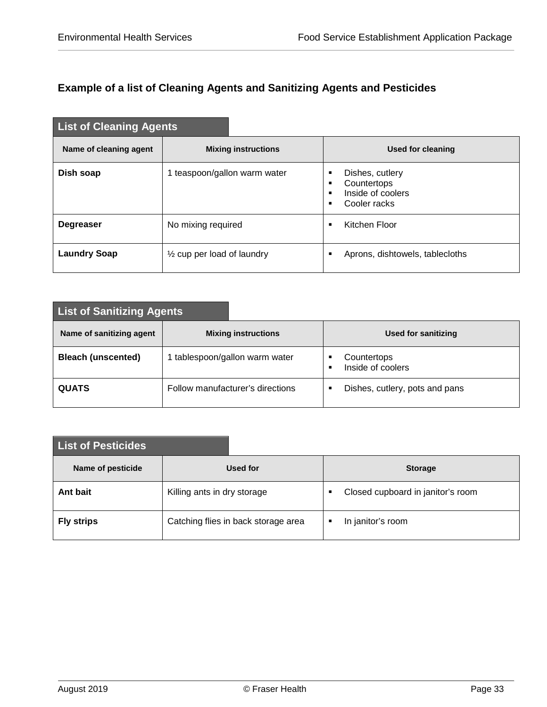## **Example of a list of Cleaning Agents and Sanitizing Agents and Pesticides**

| <b>List of Cleaning Agents</b> |                                       |                                                                               |
|--------------------------------|---------------------------------------|-------------------------------------------------------------------------------|
| Name of cleaning agent         | <b>Mixing instructions</b>            | Used for cleaning                                                             |
| Dish soap                      | 1 teaspoon/gallon warm water          | Dishes, cutlery<br>٠<br>Countertops<br>٠<br>Inside of coolers<br>Cooler racks |
| <b>Degreaser</b>               | No mixing required                    | Kitchen Floor<br>п                                                            |
| <b>Laundry Soap</b>            | $\frac{1}{2}$ cup per load of laundry | Aprons, dishtowels, tablecloths<br>٠                                          |

| <b>List of Sanitizing Agents</b> |                                  |                                            |  |  |  |  |  |
|----------------------------------|----------------------------------|--------------------------------------------|--|--|--|--|--|
| Name of sanitizing agent         | <b>Mixing instructions</b>       | Used for sanitizing                        |  |  |  |  |  |
| <b>Bleach (unscented)</b>        | tablespoon/gallon warm water     | Countertops<br>п<br>Inside of coolers<br>п |  |  |  |  |  |
| <b>QUATS</b>                     | Follow manufacturer's directions | Dishes, cutlery, pots and pans             |  |  |  |  |  |

| <b>List of Pesticides</b> |                                     |                                        |
|---------------------------|-------------------------------------|----------------------------------------|
| Name of pesticide         | Used for                            | <b>Storage</b>                         |
| Ant bait                  | Killing ants in dry storage         | Closed cupboard in janitor's room<br>٠ |
| <b>Fly strips</b>         | Catching flies in back storage area | In janitor's room<br>٠                 |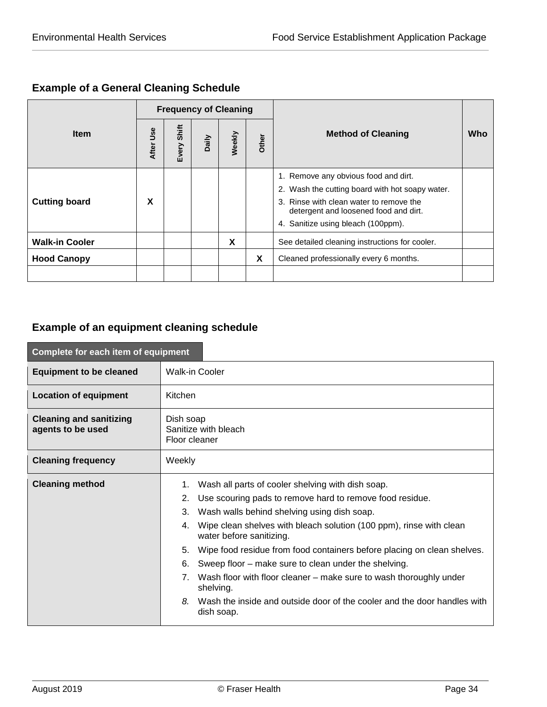## **Example of a General Cleaning Schedule**

|                       |           |             |       | <b>Frequency of Cleaning</b> |       |                                                                                                                                                                                                                   |     |
|-----------------------|-----------|-------------|-------|------------------------------|-------|-------------------------------------------------------------------------------------------------------------------------------------------------------------------------------------------------------------------|-----|
| <b>Item</b>           | After Use | Every Shift | Daily | Weekly                       | Other | <b>Method of Cleaning</b>                                                                                                                                                                                         | Who |
| <b>Cutting board</b>  | x         |             |       |                              |       | 1. Remove any obvious food and dirt.<br>2. Wash the cutting board with hot soapy water.<br>3. Rinse with clean water to remove the<br>detergent and loosened food and dirt.<br>4. Sanitize using bleach (100ppm). |     |
| <b>Walk-in Cooler</b> |           |             |       | X                            |       | See detailed cleaning instructions for cooler.                                                                                                                                                                    |     |
| <b>Hood Canopy</b>    |           |             |       |                              | X     | Cleaned professionally every 6 months.                                                                                                                                                                            |     |
|                       |           |             |       |                              |       |                                                                                                                                                                                                                   |     |

## **Example of an equipment cleaning schedule**

| Complete for each item of equipment                 |                                                                                                                                                                                                                                                                                                                                                                                                                                                                                                                                                                                                       |  |  |  |
|-----------------------------------------------------|-------------------------------------------------------------------------------------------------------------------------------------------------------------------------------------------------------------------------------------------------------------------------------------------------------------------------------------------------------------------------------------------------------------------------------------------------------------------------------------------------------------------------------------------------------------------------------------------------------|--|--|--|
| <b>Equipment to be cleaned</b>                      | <b>Walk-in Cooler</b>                                                                                                                                                                                                                                                                                                                                                                                                                                                                                                                                                                                 |  |  |  |
| <b>Location of equipment</b>                        | Kitchen                                                                                                                                                                                                                                                                                                                                                                                                                                                                                                                                                                                               |  |  |  |
| <b>Cleaning and sanitizing</b><br>agents to be used | Dish soap<br>Sanitize with bleach<br>Floor cleaner                                                                                                                                                                                                                                                                                                                                                                                                                                                                                                                                                    |  |  |  |
| <b>Cleaning frequency</b>                           | Weekly                                                                                                                                                                                                                                                                                                                                                                                                                                                                                                                                                                                                |  |  |  |
| <b>Cleaning method</b>                              | Wash all parts of cooler shelving with dish soap.<br>1.<br>2. Use scouring pads to remove hard to remove food residue.<br>3. Wash walls behind shelving using dish soap.<br>4. Wipe clean shelves with bleach solution (100 ppm), rinse with clean<br>water before sanitizing.<br>5. Wipe food residue from food containers before placing on clean shelves.<br>Sweep floor – make sure to clean under the shelving.<br>6.<br>Wash floor with floor cleaner – make sure to wash thoroughly under<br>7.<br>shelving.<br>Wash the inside and outside door of the cooler and the door handles with<br>8. |  |  |  |
|                                                     | dish soap.                                                                                                                                                                                                                                                                                                                                                                                                                                                                                                                                                                                            |  |  |  |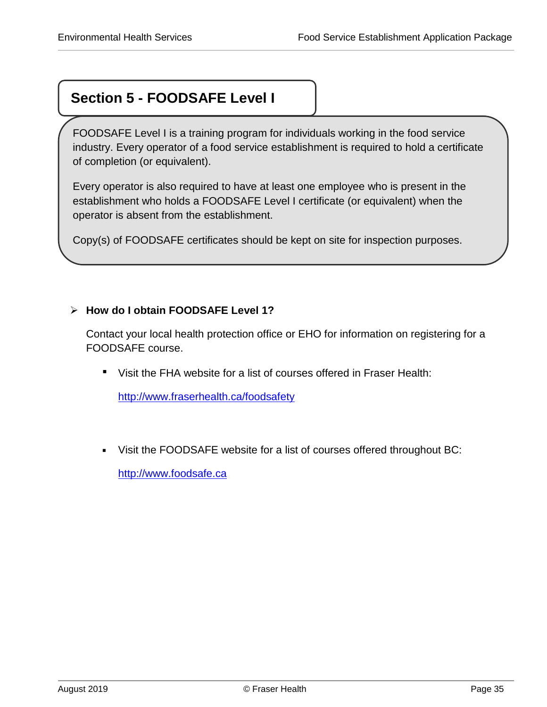# **Section 5 - FOODSAFE Level I**

FOODSAFE Level I is a training program for individuals working in the food service industry. Every operator of a food service establishment is required to hold a certificate of completion (or equivalent).

Every operator is also required to have at least one employee who is present in the establishment who holds a FOODSAFE Level I certificate (or equivalent) when the operator is absent from the establishment.

<span id="page-35-0"></span>Copy(s) of FOODSAFE certificates should be kept on site for inspection purposes.

## **How do I obtain FOODSAFE Level 1?**

Contact your local health protection office or EHO for information on registering for a FOODSAFE course.

Visit the FHA website for a list of courses offered in Fraser Health:

<http://www.fraserhealth.ca/foodsafety>

Visit the FOODSAFE website for a list of courses offered throughout BC:

[http://www.foodsafe.ca](http://www.foodsafe.ca/)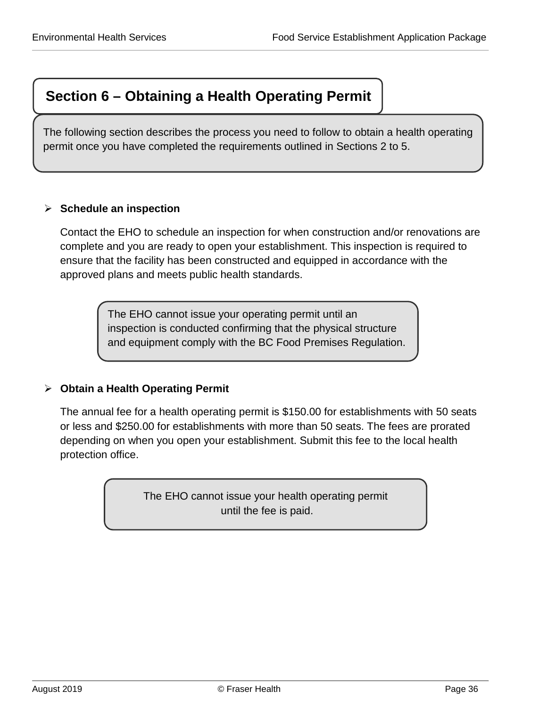# **Section 6 – Obtaining a Health Operating Permit**

The following section describes the process you need to follow to obtain a health operating permit once you have completed the requirements outlined in Sections 2 to 5.

## <span id="page-36-0"></span>**Schedule an inspection**

Contact the EHO to schedule an inspection for when construction and/or renovations are complete and you are ready to open your establishment. This inspection is required to ensure that the facility has been constructed and equipped in accordance with the approved plans and meets public health standards.

> The EHO cannot issue your operating permit until an inspection is conducted confirming that the physical structure and equipment comply with the BC Food Premises Regulation.

## **Obtain a Health Operating Permit**

The annual fee for a health operating permit is \$150.00 for establishments with 50 seats or less and \$250.00 for establishments with more than 50 seats. The fees are prorated depending on when you open your establishment. Submit this fee to the local health protection office.

> The EHO cannot issue your health operating permit until the fee is paid.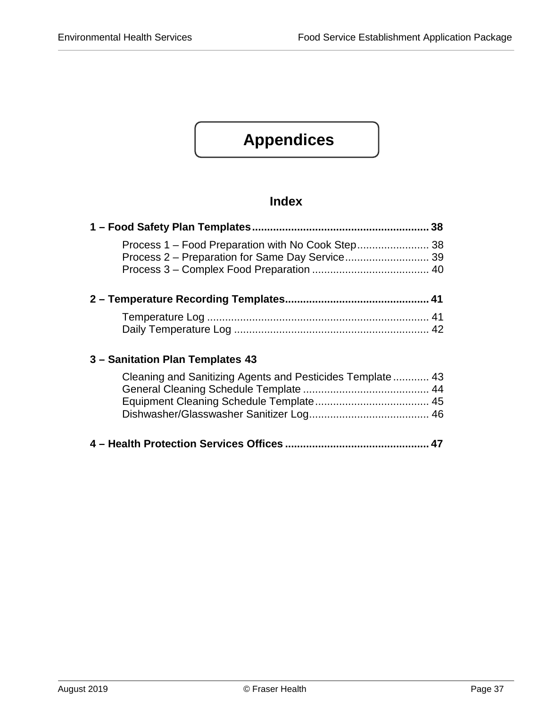# **Appendices**

## **Index**

| Process 1 - Food Preparation with No Cook Step 38         |  |
|-----------------------------------------------------------|--|
|                                                           |  |
|                                                           |  |
|                                                           |  |
|                                                           |  |
|                                                           |  |
| 3 - Sanitation Plan Templates 43                          |  |
| Cleaning and Sanitizing Agents and Pesticides Template 43 |  |
|                                                           |  |
|                                                           |  |
|                                                           |  |

**4 – [Health Protection Services Offices](#page-47-0) ................................................ 47**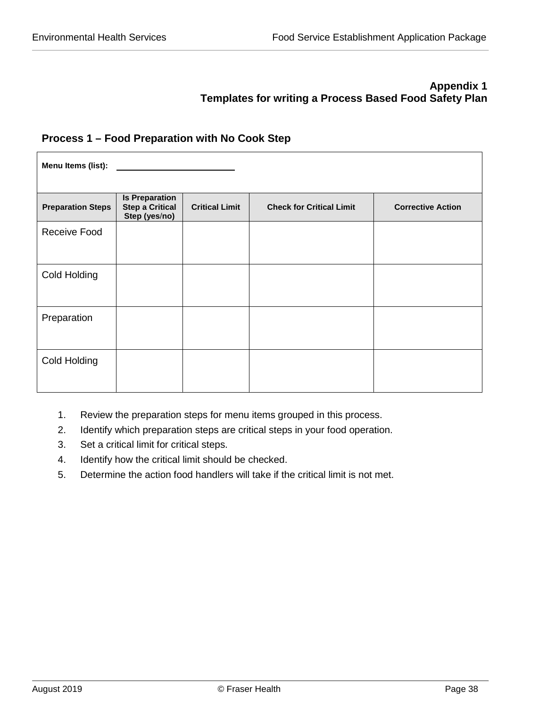## **Appendix 1 Templates for writing a Process Based Food Safety Plan**

#### <span id="page-38-1"></span><span id="page-38-0"></span>**Process 1 – Food Preparation with No Cook Step**

| Menu Items (list):       |                                                                  |                       |                                 |                          |  |  |  |
|--------------------------|------------------------------------------------------------------|-----------------------|---------------------------------|--------------------------|--|--|--|
| <b>Preparation Steps</b> | <b>Is Preparation</b><br><b>Step a Critical</b><br>Step (yes/no) | <b>Critical Limit</b> | <b>Check for Critical Limit</b> | <b>Corrective Action</b> |  |  |  |
| Receive Food             |                                                                  |                       |                                 |                          |  |  |  |
| Cold Holding             |                                                                  |                       |                                 |                          |  |  |  |
| Preparation              |                                                                  |                       |                                 |                          |  |  |  |
| Cold Holding             |                                                                  |                       |                                 |                          |  |  |  |

- 1. Review the preparation steps for menu items grouped in this process.
- 2. Identify which preparation steps are critical steps in your food operation.
- 3. Set a critical limit for critical steps.
- 4. Identify how the critical limit should be checked.
- 5. Determine the action food handlers will take if the critical limit is not met.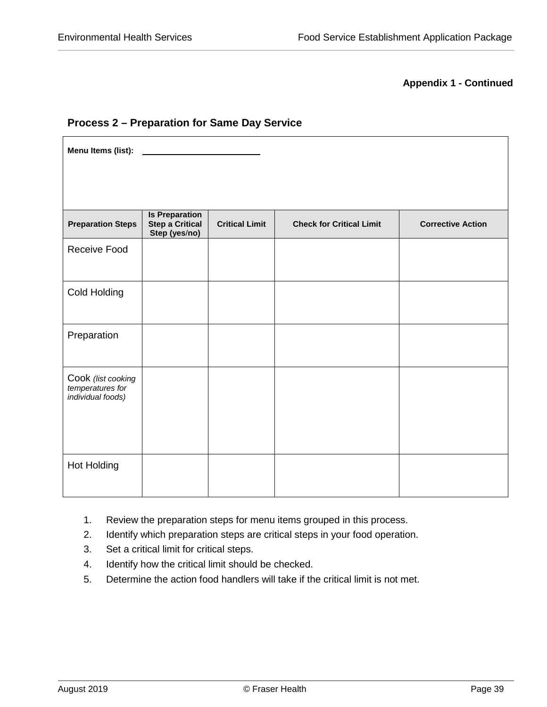#### **Appendix 1 - Continued**

#### <span id="page-39-0"></span>**Process 2 – Preparation for Same Day Service**

**Menu Items (list): Preparation Steps Is Preparation Step a Critical Step (yes**/**no) Critical Limit Check for Critical Limit Corrective Action** Receive Food Cold Holding Preparation Cook *(list cooking temperatures for individual foods)* Hot Holding

- 1. Review the preparation steps for menu items grouped in this process.
- 2. Identify which preparation steps are critical steps in your food operation.
- 3. Set a critical limit for critical steps.
- 4. Identify how the critical limit should be checked.
- 5. Determine the action food handlers will take if the critical limit is not met.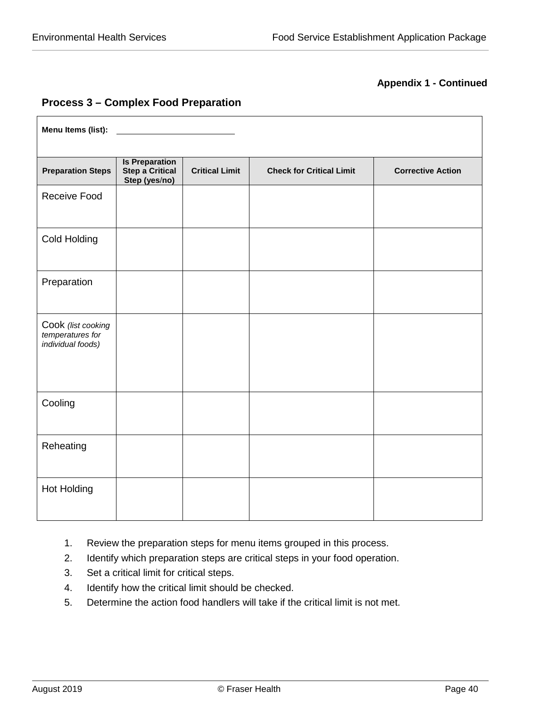#### **Appendix 1 - Continued**

## <span id="page-40-0"></span>**Process 3 – Complex Food Preparation**

| Menu Items (list):                                          |                                                                  |                       |                                 |                          |
|-------------------------------------------------------------|------------------------------------------------------------------|-----------------------|---------------------------------|--------------------------|
| <b>Preparation Steps</b>                                    | <b>Is Preparation</b><br><b>Step a Critical</b><br>Step (yes/no) | <b>Critical Limit</b> | <b>Check for Critical Limit</b> | <b>Corrective Action</b> |
| <b>Receive Food</b>                                         |                                                                  |                       |                                 |                          |
| Cold Holding                                                |                                                                  |                       |                                 |                          |
| Preparation                                                 |                                                                  |                       |                                 |                          |
| Cook (list cooking<br>temperatures for<br>individual foods) |                                                                  |                       |                                 |                          |
| Cooling                                                     |                                                                  |                       |                                 |                          |
| Reheating                                                   |                                                                  |                       |                                 |                          |
| Hot Holding                                                 |                                                                  |                       |                                 |                          |

- 1. Review the preparation steps for menu items grouped in this process.
- 2. Identify which preparation steps are critical steps in your food operation.
- 3. Set a critical limit for critical steps.
- 4. Identify how the critical limit should be checked.
- 5. Determine the action food handlers will take if the critical limit is not met.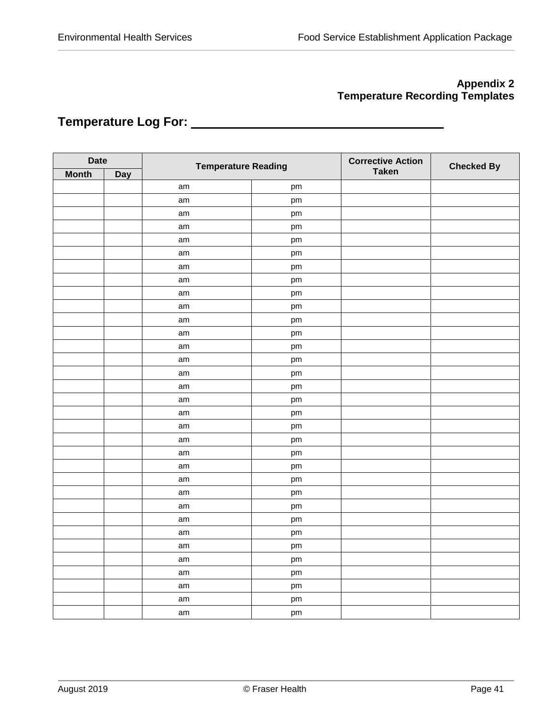## **Appendix 2 Temperature Recording Templates**

## <span id="page-41-1"></span><span id="page-41-0"></span>**Temperature Log For:**

|              | <b>Date</b><br><b>Temperature Reading</b> |    |    | <b>Corrective Action</b> | <b>Checked By</b> |
|--------------|-------------------------------------------|----|----|--------------------------|-------------------|
| <b>Month</b> | <b>Day</b>                                |    |    | <b>Taken</b>             |                   |
|              |                                           | am | pm |                          |                   |
|              |                                           | am | pm |                          |                   |
|              |                                           | am | pm |                          |                   |
|              |                                           | am | pm |                          |                   |
|              |                                           | am | pm |                          |                   |
|              |                                           | am | pm |                          |                   |
|              |                                           | am | pm |                          |                   |
|              |                                           | am | pm |                          |                   |
|              |                                           | am | pm |                          |                   |
|              |                                           | am | pm |                          |                   |
|              |                                           | am | pm |                          |                   |
|              |                                           | am | pm |                          |                   |
|              |                                           | am | pm |                          |                   |
|              |                                           | am | pm |                          |                   |
|              |                                           | am | pm |                          |                   |
|              |                                           | am | pm |                          |                   |
|              |                                           | am | pm |                          |                   |
|              |                                           | am | pm |                          |                   |
|              |                                           | am | pm |                          |                   |
|              |                                           | am | pm |                          |                   |
|              |                                           | am | pm |                          |                   |
|              |                                           | am | pm |                          |                   |
|              |                                           | am | pm |                          |                   |
|              |                                           | am | pm |                          |                   |
|              |                                           | am | pm |                          |                   |
|              |                                           | am | pm |                          |                   |
|              |                                           | am | pm |                          |                   |
|              |                                           | am | pm |                          |                   |
|              |                                           | am | pm |                          |                   |
|              |                                           | am | pm |                          |                   |
|              |                                           | am | pm |                          |                   |
|              |                                           | am | pm |                          |                   |
|              |                                           | am | pm |                          |                   |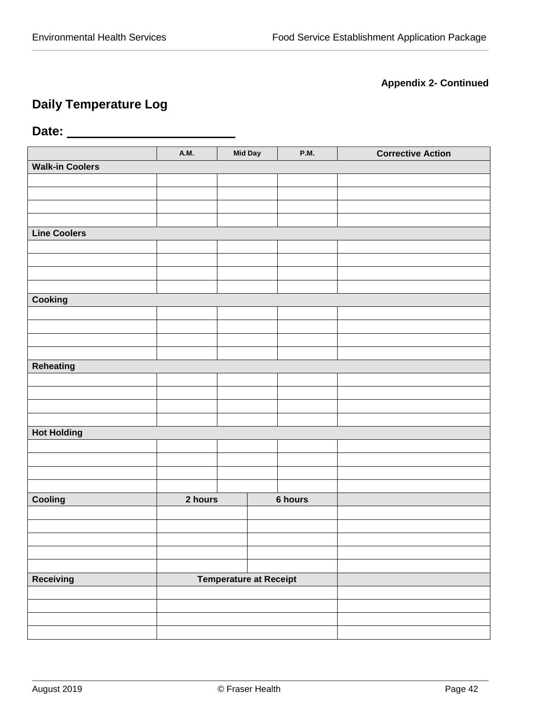## **Appendix 2- Continued**

## **Daily Temperature Log**

## <span id="page-42-0"></span>**Date:**

|                        | <b>A.M.</b> | <b>Mid Day</b>                | <b>P.M.</b> | <b>Corrective Action</b> |
|------------------------|-------------|-------------------------------|-------------|--------------------------|
| <b>Walk-in Coolers</b> |             |                               |             |                          |
|                        |             |                               |             |                          |
|                        |             |                               |             |                          |
|                        |             |                               |             |                          |
|                        |             |                               |             |                          |
| <b>Line Coolers</b>    |             |                               |             |                          |
|                        |             |                               |             |                          |
|                        |             |                               |             |                          |
|                        |             |                               |             |                          |
|                        |             |                               |             |                          |
| Cooking                |             |                               |             |                          |
|                        |             |                               |             |                          |
|                        |             |                               |             |                          |
|                        |             |                               |             |                          |
| Reheating              |             |                               |             |                          |
|                        |             |                               |             |                          |
|                        |             |                               |             |                          |
|                        |             |                               |             |                          |
|                        |             |                               |             |                          |
| <b>Hot Holding</b>     |             |                               |             |                          |
|                        |             |                               |             |                          |
|                        |             |                               |             |                          |
|                        |             |                               |             |                          |
|                        |             |                               |             |                          |
| Cooling                | 2 hours     |                               | 6 hours     |                          |
|                        |             |                               |             |                          |
|                        |             |                               |             |                          |
|                        |             |                               |             |                          |
|                        |             |                               |             |                          |
|                        |             |                               |             |                          |
| Receiving              |             | <b>Temperature at Receipt</b> |             |                          |
|                        |             |                               |             |                          |
|                        |             |                               |             |                          |
|                        |             |                               |             |                          |
|                        |             |                               |             |                          |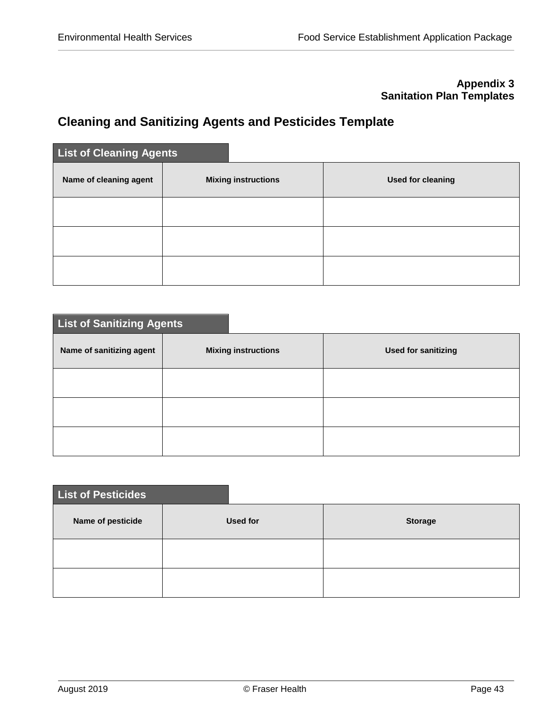## **Appendix 3 Sanitation Plan Templates**

## <span id="page-43-1"></span><span id="page-43-0"></span>**Cleaning and Sanitizing Agents and Pesticides Template**

| <b>List of Cleaning Agents</b> |                            |                          |
|--------------------------------|----------------------------|--------------------------|
| Name of cleaning agent         | <b>Mixing instructions</b> | <b>Used for cleaning</b> |
|                                |                            |                          |
|                                |                            |                          |
|                                |                            |                          |

| <b>List of Sanitizing Agents</b> |                            |                            |  |  |  |  |
|----------------------------------|----------------------------|----------------------------|--|--|--|--|
| Name of sanitizing agent         | <b>Mixing instructions</b> | <b>Used for sanitizing</b> |  |  |  |  |
|                                  |                            |                            |  |  |  |  |
|                                  |                            |                            |  |  |  |  |
|                                  |                            |                            |  |  |  |  |

| List of Pesticides |                 |                |  |  |  |  |
|--------------------|-----------------|----------------|--|--|--|--|
| Name of pesticide  | <b>Used for</b> | <b>Storage</b> |  |  |  |  |
|                    |                 |                |  |  |  |  |
|                    |                 |                |  |  |  |  |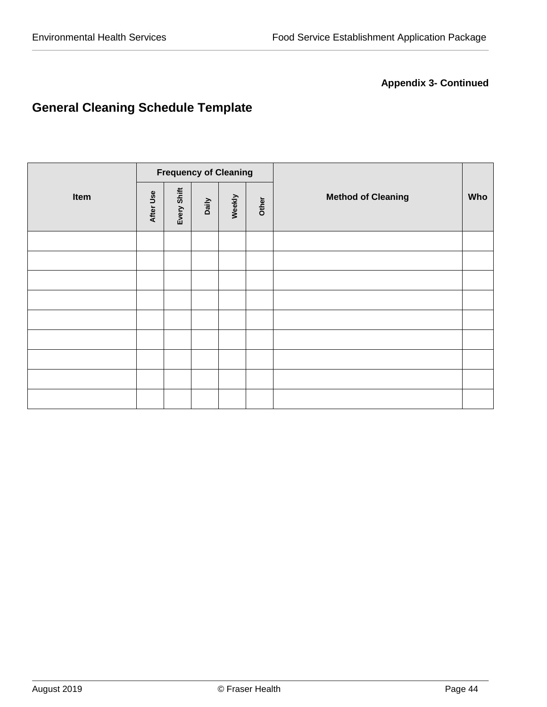## **Appendix 3- Continued**

# <span id="page-44-0"></span>**General Cleaning Schedule Template**

|      | <b>Frequency of Cleaning</b> |             |       |        |       |                           |  |
|------|------------------------------|-------------|-------|--------|-------|---------------------------|--|
| Item | After Use                    | Every Shift | Daily | Weekly | Other | <b>Method of Cleaning</b> |  |
|      |                              |             |       |        |       |                           |  |
|      |                              |             |       |        |       |                           |  |
|      |                              |             |       |        |       |                           |  |
|      |                              |             |       |        |       |                           |  |
|      |                              |             |       |        |       |                           |  |
|      |                              |             |       |        |       |                           |  |
|      |                              |             |       |        |       |                           |  |
|      |                              |             |       |        |       |                           |  |
|      |                              |             |       |        |       |                           |  |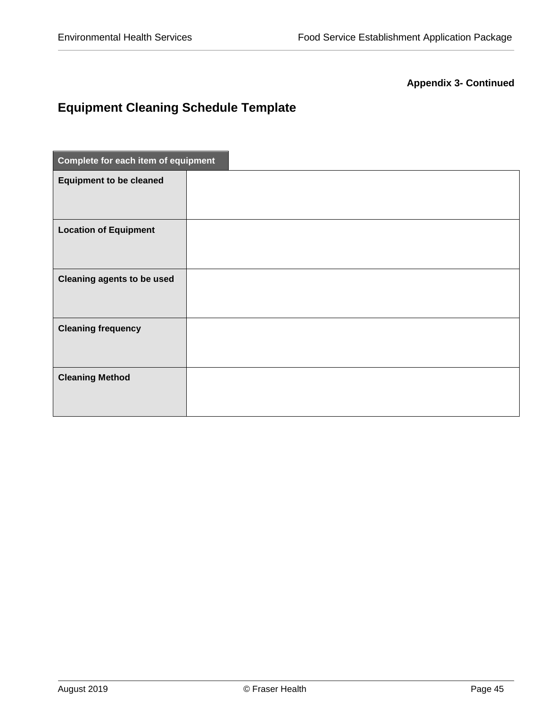## **Appendix 3- Continued**

# <span id="page-45-0"></span>**Equipment Cleaning Schedule Template**

| Complete for each item of equipment |  |  |  |  |  |
|-------------------------------------|--|--|--|--|--|
| <b>Equipment to be cleaned</b>      |  |  |  |  |  |
| <b>Location of Equipment</b>        |  |  |  |  |  |
| <b>Cleaning agents to be used</b>   |  |  |  |  |  |
| <b>Cleaning frequency</b>           |  |  |  |  |  |
| <b>Cleaning Method</b>              |  |  |  |  |  |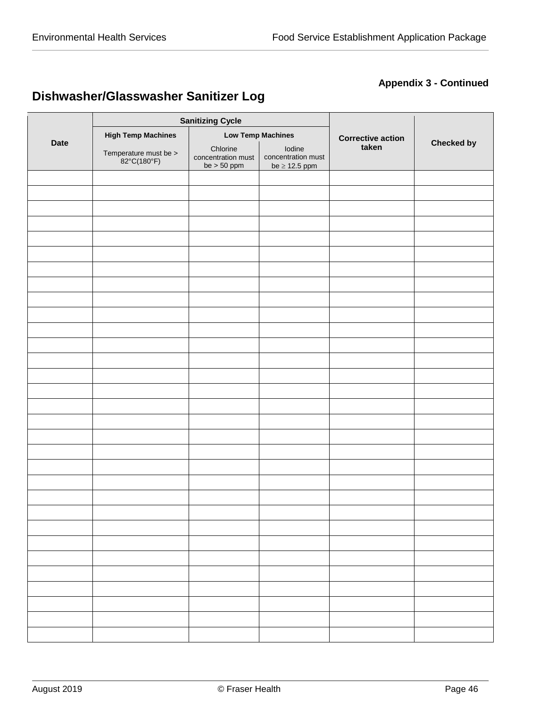## **Appendix 3 - Continued**

# <span id="page-46-0"></span>**Dishwasher/Glasswasher Sanitizer Log**

| <b>Date</b> |                                      | <b>Sanitizing Cycle</b>                         |                                                    |                          |                   |
|-------------|--------------------------------------|-------------------------------------------------|----------------------------------------------------|--------------------------|-------------------|
|             | <b>High Temp Machines</b>            |                                                 | <b>Low Temp Machines</b>                           | <b>Corrective action</b> |                   |
|             | Temperature must be ><br>82°C(180°F) | Chlorine<br>concentration must<br>be $> 50$ ppm | Iodine<br>concentration must<br>be $\geq$ 12.5 ppm | taken                    | <b>Checked by</b> |
|             |                                      |                                                 |                                                    |                          |                   |
|             |                                      |                                                 |                                                    |                          |                   |
|             |                                      |                                                 |                                                    |                          |                   |
|             |                                      |                                                 |                                                    |                          |                   |
|             |                                      |                                                 |                                                    |                          |                   |
|             |                                      |                                                 |                                                    |                          |                   |
|             |                                      |                                                 |                                                    |                          |                   |
|             |                                      |                                                 |                                                    |                          |                   |
|             |                                      |                                                 |                                                    |                          |                   |
|             |                                      |                                                 |                                                    |                          |                   |
|             |                                      |                                                 |                                                    |                          |                   |
|             |                                      |                                                 |                                                    |                          |                   |
|             |                                      |                                                 |                                                    |                          |                   |
|             |                                      |                                                 |                                                    |                          |                   |
|             |                                      |                                                 |                                                    |                          |                   |
|             |                                      |                                                 |                                                    |                          |                   |
|             |                                      |                                                 |                                                    |                          |                   |
|             |                                      |                                                 |                                                    |                          |                   |
|             |                                      |                                                 |                                                    |                          |                   |
|             |                                      |                                                 |                                                    |                          |                   |
|             |                                      |                                                 |                                                    |                          |                   |
|             |                                      |                                                 |                                                    |                          |                   |
|             |                                      |                                                 |                                                    |                          |                   |
|             |                                      |                                                 |                                                    |                          |                   |
|             |                                      |                                                 |                                                    |                          |                   |
|             |                                      |                                                 |                                                    |                          |                   |
|             |                                      |                                                 |                                                    |                          |                   |
|             |                                      |                                                 |                                                    |                          |                   |
|             |                                      |                                                 |                                                    |                          |                   |
|             |                                      |                                                 |                                                    |                          |                   |
|             |                                      |                                                 |                                                    |                          |                   |